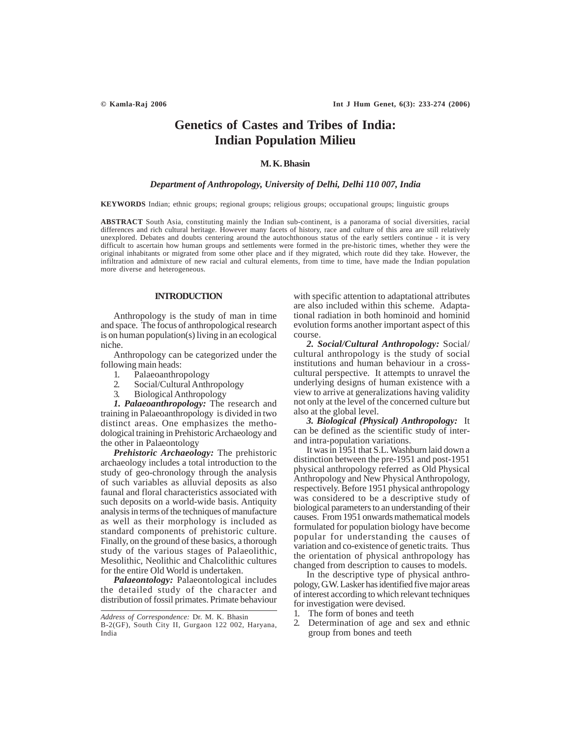# **Genetics of Castes and Tribes of India: Indian Population Milieu**

# **M. K. Bhasin**

## *Department of Anthropology, University of Delhi, Delhi 110 007, India*

**KEYWORDS** Indian; ethnic groups; regional groups; religious groups; occupational groups; linguistic groups

**ABSTRACT** South Asia, constituting mainly the Indian sub-continent, is a panorama of social diversities, racial differences and rich cultural heritage. However many facets of history, race and culture of this area are still relatively unexplored. Debates and doubts centering around the autochthonous status of the early settlers continue - it is very difficult to ascertain how human groups and settlements were formed in the pre-historic times, whether they were the original inhabitants or migrated from some other place and if they migrated, which route did they take. However, the infiltration and admixture of new racial and cultural elements, from time to time, have made the Indian population more diverse and heterogeneous.

#### **INTRODUCTION**

Anthropology is the study of man in time and space. The focus of anthropological research is on human population(s) living in an ecological niche.

Anthropology can be categorized under the following main heads:

- 1. Palaeoanthropology<br>2. Social/Cultural Anth
- 2. Social/Cultural Anthropology
- 3. Biological Anthropology

*1. Palaeoanthropology:* The research and training in Palaeoanthropology is divided in two distinct areas. One emphasizes the methodological training in Prehistoric Archaeology and the other in Palaeontology

*Prehistoric Archaeology:* The prehistoric archaeology includes a total introduction to the study of geo-chronology through the analysis of such variables as alluvial deposits as also faunal and floral characteristics associated with such deposits on a world-wide basis. Antiquity analysis in terms of the techniques of manufacture as well as their morphology is included as standard components of prehistoric culture. Finally, on the ground of these basics, a thorough study of the various stages of Palaeolithic, Mesolithic, Neolithic and Chalcolithic cultures for the entire Old World is undertaken.

*Palaeontology:* Palaeontological includes the detailed study of the character and distribution of fossil primates. Primate behaviour with specific attention to adaptational attributes are also included within this scheme. Adaptational radiation in both hominoid and hominid evolution forms another important aspect of this course.

*2. Social/Cultural Anthropology:* Social/ cultural anthropology is the study of social institutions and human behaviour in a crosscultural perspective. It attempts to unravel the underlying designs of human existence with a view to arrive at generalizations having validity not only at the level of the concerned culture but also at the global level.

*3. Biological (Physical) Anthropology:* It can be defined as the scientific study of interand intra-population variations.

It was in 1951 that S.L. Washburn laid down a distinction between the pre-1951 and post-1951 physical anthropology referred as Old Physical Anthropology and New Physical Anthropology, respectively. Before 1951 physical anthropology was considered to be a descriptive study of biological parameters to an understanding of their causes. From 1951 onwards mathematical models formulated for population biology have become popular for understanding the causes of variation and co-existence of genetic traits. Thus the orientation of physical anthropology has changed from description to causes to models.

In the descriptive type of physical anthropology, G.W. Lasker has identified five major areas of interest according to which relevant techniques for investigation were devised.

- 1. The form of bones and teeth
- 2. Determination of age and sex and ethnic group from bones and teeth

*Address of Correspondence:* Dr. M. K. Bhasin B-2(GF), South City II, Gurgaon 122 002, Haryana, India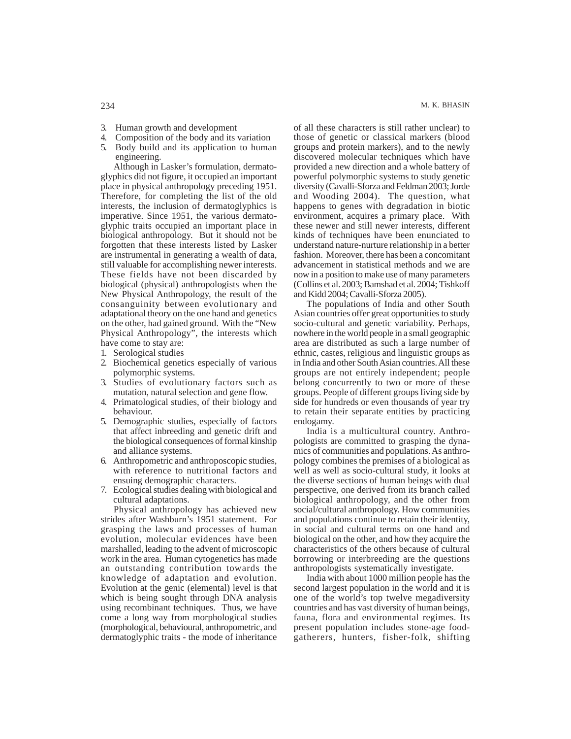- 3. Human growth and development
- 4. Composition of the body and its variation
- 5. Body build and its application to human engineering.

Although in Lasker's formulation, dermatoglyphics did not figure, it occupied an important place in physical anthropology preceding 1951. Therefore, for completing the list of the old interests, the inclusion of dermatoglyphics is imperative. Since 1951, the various dermatoglyphic traits occupied an important place in biological anthropology. But it should not be forgotten that these interests listed by Lasker are instrumental in generating a wealth of data, still valuable for accomplishing newer interests. These fields have not been discarded by biological (physical) anthropologists when the New Physical Anthropology, the result of the consanguinity between evolutionary and adaptational theory on the one hand and genetics on the other, had gained ground. With the "New Physical Anthropology", the interests which have come to stay are:

- 1. Serological studies
- 2. Biochemical genetics especially of various polymorphic systems.
- 3. Studies of evolutionary factors such as mutation, natural selection and gene flow.
- 4. Primatological studies, of their biology and behaviour.
- 5. Demographic studies, especially of factors that affect inbreeding and genetic drift and the biological consequences of formal kinship and alliance systems.
- 6. Anthropometric and anthroposcopic studies, with reference to nutritional factors and ensuing demographic characters.
- 7. Ecological studies dealing with biological and cultural adaptations.

Physical anthropology has achieved new strides after Washburn's 1951 statement. For grasping the laws and processes of human evolution, molecular evidences have been marshalled, leading to the advent of microscopic work in the area. Human cytogenetics has made an outstanding contribution towards the knowledge of adaptation and evolution. Evolution at the genic (elemental) level is that which is being sought through DNA analysis using recombinant techniques. Thus, we have come a long way from morphological studies (morphological, behavioural, anthropometric, and dermatoglyphic traits - the mode of inheritance

of all these characters is still rather unclear) to those of genetic or classical markers (blood groups and protein markers), and to the newly discovered molecular techniques which have provided a new direction and a whole battery of powerful polymorphic systems to study genetic diversity (Cavalli-Sforza and Feldman 2003; Jorde and Wooding 2004). The question, what happens to genes with degradation in biotic environment, acquires a primary place. With these newer and still newer interests, different kinds of techniques have been enunciated to understand nature-nurture relationship in a better fashion. Moreover, there has been a concomitant advancement in statistical methods and we are now in a position to make use of many parameters (Collins et al. 2003; Bamshad et al. 2004; Tishkoff and Kidd 2004; Cavalli-Sforza 2005).

The populations of India and other South Asian countries offer great opportunities to study socio-cultural and genetic variability. Perhaps, nowhere in the world people in a small geographic area are distributed as such a large number of ethnic, castes, religious and linguistic groups as in India and other South Asian countries. All these groups are not entirely independent; people belong concurrently to two or more of these groups. People of different groups living side by side for hundreds or even thousands of year try to retain their separate entities by practicing endogamy.

India is a multicultural country. Anthropologists are committed to grasping the dynamics of communities and populations. As anthropology combines the premises of a biological as well as well as socio-cultural study, it looks at the diverse sections of human beings with dual perspective, one derived from its branch called biological anthropology, and the other from social/cultural anthropology. How communities and populations continue to retain their identity, in social and cultural terms on one hand and biological on the other, and how they acquire the characteristics of the others because of cultural borrowing or interbreeding are the questions anthropologists systematically investigate.

India with about 1000 million people has the second largest population in the world and it is one of the world's top twelve megadiversity countries and has vast diversity of human beings, fauna, flora and environmental regimes. Its present population includes stone-age foodgatherers, hunters, fisher-folk, shifting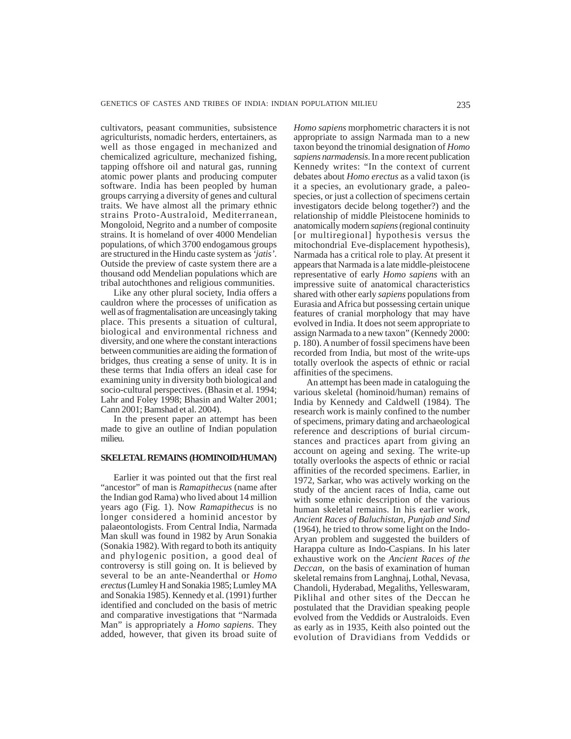cultivators, peasant communities, subsistence agriculturists, nomadic herders, entertainers, as well as those engaged in mechanized and chemicalized agriculture, mechanized fishing, tapping offshore oil and natural gas, running atomic power plants and producing computer software. India has been peopled by human groups carrying a diversity of genes and cultural traits. We have almost all the primary ethnic strains Proto-Australoid, Mediterranean, Mongoloid, Negrito and a number of composite strains. It is homeland of over 4000 Mendelian populations, of which 3700 endogamous groups are structured in the Hindu caste system as *'jatis'*. Outside the preview of caste system there are a thousand odd Mendelian populations which are tribal autochthones and religious communities.

Like any other plural society, India offers a cauldron where the processes of unification as well as of fragmentalisation are unceasingly taking place. This presents a situation of cultural, biological and environmental richness and diversity, and one where the constant interactions between communities are aiding the formation of bridges, thus creating a sense of unity. It is in these terms that India offers an ideal case for examining unity in diversity both biological and socio-cultural perspectives. (Bhasin et al. 1994; Lahr and Foley 1998; Bhasin and Walter 2001; Cann 2001; Bamshad et al. 2004).

In the present paper an attempt has been made to give an outline of Indian population milieu.

#### **SKELETAL REMAINS (HOMINOID/HUMAN)**

Earlier it was pointed out that the first real "ancestor" of man is *Ramapithecus* (name after the Indian god Rama) who lived about 14 million years ago (Fig. 1). Now *Ramapithecus* is no longer considered a hominid ancestor by palaeontologists. From Central India, Narmada Man skull was found in 1982 by Arun Sonakia (Sonakia 1982). With regard to both its antiquity and phylogenic position, a good deal of controversy is still going on. It is believed by several to be an ante-Neanderthal or *Homo erectus* (Lumley H and Sonakia 1985; Lumley MA and Sonakia 1985). Kennedy et al. (1991) further identified and concluded on the basis of metric and comparative investigations that "Narmada Man" is appropriately a *Homo sapiens*. They added, however, that given its broad suite of *Homo sapiens* morphometric characters it is not appropriate to assign Narmada man to a new taxon beyond the trinomial designation of *Homo sapiens narmadensis*. In a more recent publication Kennedy writes: "In the context of current debates about *Homo erectus* as a valid taxon (is it a species, an evolutionary grade, a paleospecies, or just a collection of specimens certain investigators decide belong together?) and the relationship of middle Pleistocene hominids to anatomically modern *sapiens* (regional continuity [or multiregional] hypothesis versus the mitochondrial Eve-displacement hypothesis), Narmada has a critical role to play. At present it appears that Narmada is a late middle-pleistocene representative of early *Homo sapiens* with an impressive suite of anatomical characteristics shared with other early *sapiens* populations from Eurasia and Africa but possessing certain unique features of cranial morphology that may have evolved in India. It does not seem appropriate to assign Narmada to a new taxon" (Kennedy 2000: p. 180). A number of fossil specimens have been recorded from India, but most of the write-ups totally overlook the aspects of ethnic or racial affinities of the specimens.

An attempt has been made in cataloguing the various skeletal (hominoid/human) remains of India by Kennedy and Caldwell (1984). The research work is mainly confined to the number of specimens, primary dating and archaeological reference and descriptions of burial circumstances and practices apart from giving an account on ageing and sexing. The write-up totally overlooks the aspects of ethnic or racial affinities of the recorded specimens. Earlier, in 1972, Sarkar, who was actively working on the study of the ancient races of India, came out with some ethnic description of the various human skeletal remains. In his earlier work, *Ancient Races of Baluchistan, Punjab and Sind* (1964), he tried to throw some light on the Indo-Aryan problem and suggested the builders of Harappa culture as Indo-Caspians. In his later exhaustive work on the *Ancient Races of the Deccan*, on the basis of examination of human skeletal remains from Langhnaj, Lothal, Nevasa, Chandoli, Hyderabad, Megaliths, Yelleswaram, Piklihal and other sites of the Deccan he postulated that the Dravidian speaking people evolved from the Veddids or Australoids. Even as early as in 1935, Keith also pointed out the evolution of Dravidians from Veddids or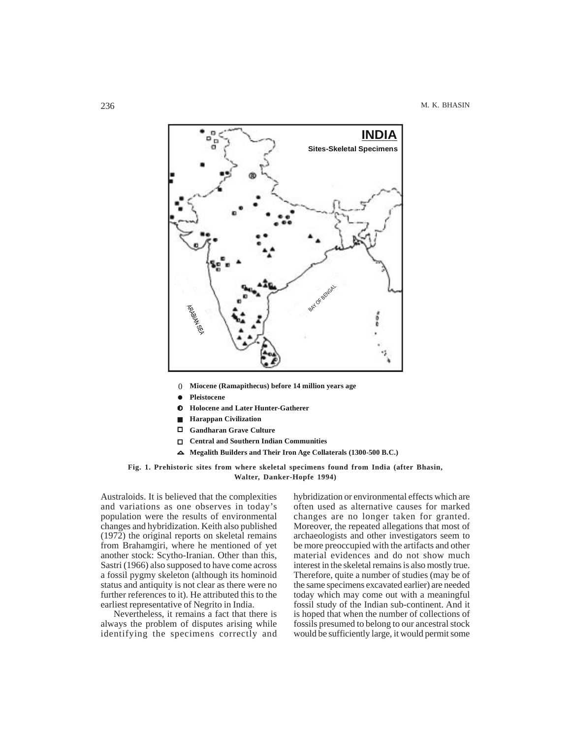# 236 M. K. BHASIN



- **Miocene (Ramapithecus) before 14 million years age** 0
- **Pleistocene**
- $\bullet$ **Holocene and Later Hunter-Gatherer**
- п **Harappan Civilization**
- п **Gandharan Grave Culture**
- $\Box$ **Central and Southern Indian Communities**
- **Megalith Builders and Their Iron Age Collaterals (1300-500 B.C.)**  $\Delta$

#### **Fig. 1. Prehistoric sites from where skeletal specimens found from India (after Bhasin, Walter, Danker-Hopfe 1994)**

Australoids. It is believed that the complexities and variations as one observes in today's population were the results of environmental changes and hybridization. Keith also published (1972) the original reports on skeletal remains from Brahamgiri, where he mentioned of yet another stock: Scytho-Iranian. Other than this, Sastri (1966) also supposed to have come across a fossil pygmy skeleton (although its hominoid status and antiquity is not clear as there were no further references to it). He attributed this to the earliest representative of Negrito in India.

Nevertheless, it remains a fact that there is always the problem of disputes arising while identifying the specimens correctly and hybridization or environmental effects which are often used as alternative causes for marked changes are no longer taken for granted. Moreover, the repeated allegations that most of archaeologists and other investigators seem to be more preoccupied with the artifacts and other material evidences and do not show much interest in the skeletal remains is also mostly true. Therefore, quite a number of studies (may be of the same specimens excavated earlier) are needed today which may come out with a meaningful fossil study of the Indian sub-continent. And it is hoped that when the number of collections of fossils presumed to belong to our ancestral stock would be sufficiently large, it would permit some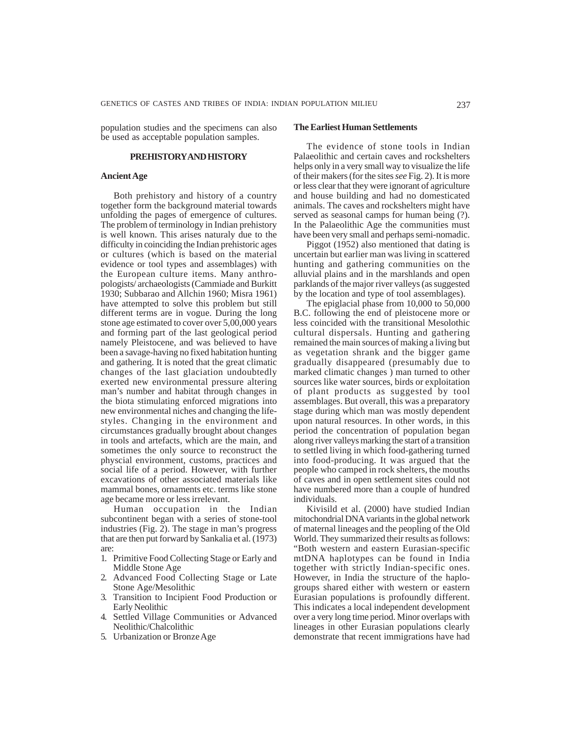population studies and the specimens can also be used as acceptable population samples.

# **PREHISTORY AND HISTORY**

#### **Ancient Age**

Both prehistory and history of a country together form the background material towards unfolding the pages of emergence of cultures. The problem of terminology in Indian prehistory is well known. This arises naturaly due to the difficulty in coinciding the Indian prehistoric ages or cultures (which is based on the material evidence or tool types and assemblages) with the European culture items. Many anthropologists/ archaeologists (Cammiade and Burkitt 1930; Subbarao and Allchin 1960; Misra 1961) have attempted to solve this problem but still different terms are in vogue. During the long stone age estimated to cover over 5,00,000 years and forming part of the last geological period namely Pleistocene, and was believed to have been a savage-having no fixed habitation hunting and gathering. It is noted that the great climatic changes of the last glaciation undoubtedly exerted new environmental pressure altering man's number and habitat through changes in the biota stimulating enforced migrations into new environmental niches and changing the lifestyles. Changing in the environment and circumstances gradually brought about changes in tools and artefacts, which are the main, and sometimes the only source to reconstruct the physcial environment, customs, practices and social life of a period. However, with further excavations of other associated materials like mammal bones, ornaments etc. terms like stone age became more or less irrelevant.

Human occupation in the Indian subcontinent began with a series of stone-tool industries (Fig. 2). The stage in man's progress that are then put forward by Sankalia et al. (1973) are:

- 1. Primitive Food Collecting Stage or Early and Middle Stone Age
- 2. Advanced Food Collecting Stage or Late Stone Age/Mesolithic
- 3. Transition to Incipient Food Production or Early Neolithic
- 4. Settled Village Communities or Advanced Neolithic/Chalcolithic
- 5. Urbanization or Bronze Age

#### **The Earliest Human Settlements**

The evidence of stone tools in Indian Palaeolithic and certain caves and rockshelters helps only in a very small way to visualize the life of their makers (for the sites *see* Fig. 2). It is more or less clear that they were ignorant of agriculture and house building and had no domesticated animals. The caves and rockshelters might have served as seasonal camps for human being (?). In the Palaeolithic Age the communities must have been very small and perhaps semi-nomadic.

Piggot (1952) also mentioned that dating is uncertain but earlier man was living in scattered hunting and gathering communities on the alluvial plains and in the marshlands and open parklands of the major river valleys (as suggested by the location and type of tool assemblages).

The epiglacial phase from 10,000 to 50,000 B.C. following the end of pleistocene more or less coincided with the transitional Mesolothic cultural dispersals. Hunting and gathering remained the main sources of making a living but as vegetation shrank and the bigger game gradually disappeared (presumably due to marked climatic changes ) man turned to other sources like water sources, birds or exploitation of plant products as suggested by tool assemblages. But overall, this was a preparatory stage during which man was mostly dependent upon natural resources. In other words, in this period the concentration of population began along river valleys marking the start of a transition to settled living in which food-gathering turned into food-producing. It was argued that the people who camped in rock shelters, the mouths of caves and in open settlement sites could not have numbered more than a couple of hundred individuals.

Kivisild et al. (2000) have studied Indian mitochondrial DNA variants in the global network of maternal lineages and the peopling of the Old World. They summarized their results as follows: "Both western and eastern Eurasian-specific mtDNA haplotypes can be found in India together with strictly Indian-specific ones. However, in India the structure of the haplogroups shared either with western or eastern Eurasian populations is profoundly different. This indicates a local independent development over a very long time period. Minor overlaps with lineages in other Eurasian populations clearly demonstrate that recent immigrations have had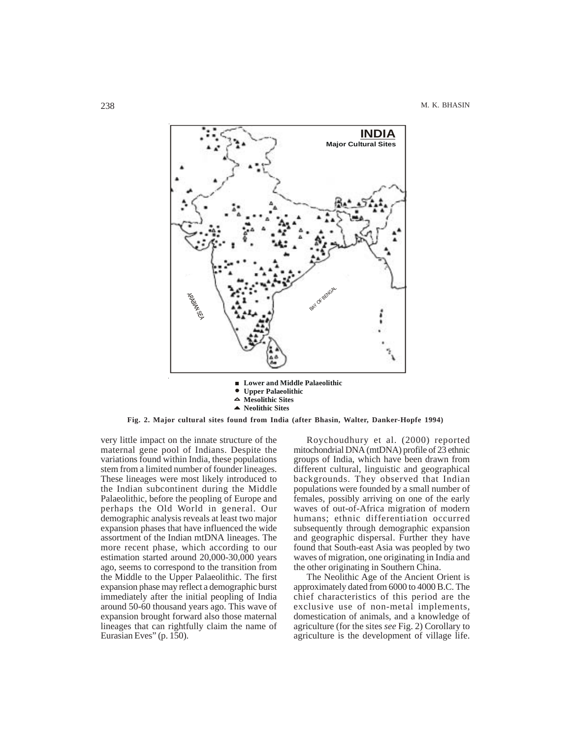

**Fig. 2. Major cultural sites found from India (after Bhasin, Walter, Danker-Hopfe 1994)**

very little impact on the innate structure of the maternal gene pool of Indians. Despite the variations found within India, these populations stem from a limited number of founder lineages. These lineages were most likely introduced to the Indian subcontinent during the Middle Palaeolithic, before the peopling of Europe and perhaps the Old World in general. Our demographic analysis reveals at least two major expansion phases that have influenced the wide assortment of the Indian mtDNA lineages. The more recent phase, which according to our estimation started around 20,000-30,000 years ago, seems to correspond to the transition from the Middle to the Upper Palaeolithic. The first expansion phase may reflect a demographic burst immediately after the initial peopling of India around 50-60 thousand years ago. This wave of expansion brought forward also those maternal lineages that can rightfully claim the name of Eurasian Eves" (p. 150).

Roychoudhury et al. (2000) reported mitochondrial DNA (mtDNA) profile of 23 ethnic groups of India, which have been drawn from different cultural, linguistic and geographical backgrounds. They observed that Indian populations were founded by a small number of females, possibly arriving on one of the early waves of out-of-Africa migration of modern humans; ethnic differentiation occurred subsequently through demographic expansion and geographic dispersal. Further they have found that South-east Asia was peopled by two waves of migration, one originating in India and the other originating in Southern China.

The Neolithic Age of the Ancient Orient is approximately dated from 6000 to 4000 B.C. The chief characteristics of this period are the exclusive use of non-metal implements, domestication of animals, and a knowledge of agriculture (for the sites *see* Fig. 2) Corollary to agriculture is the development of village life.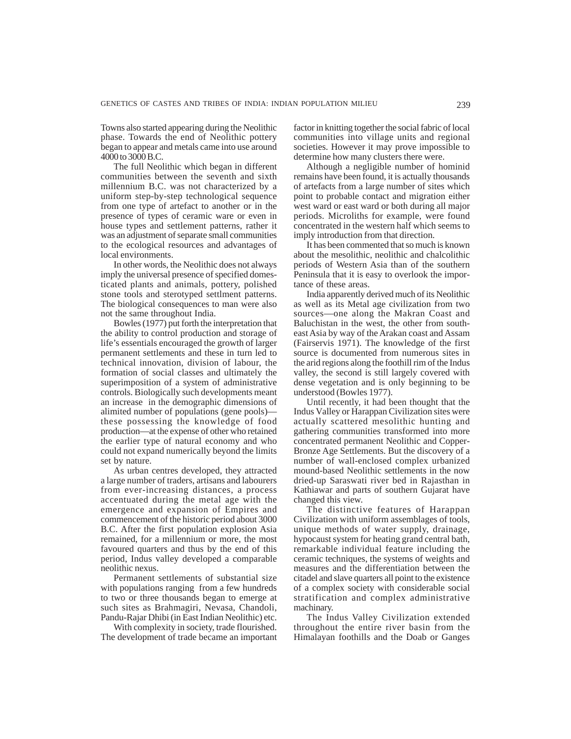Towns also started appearing during the Neolithic phase. Towards the end of Neolithic pottery began to appear and metals came into use around 4000 to 3000 B.C.

The full Neolithic which began in different communities between the seventh and sixth millennium B.C. was not characterized by a uniform step-by-step technological sequence from one type of artefact to another or in the presence of types of ceramic ware or even in house types and settlement patterns, rather it was an adjustment of separate small communities to the ecological resources and advantages of local environments.

In other words, the Neolithic does not always imply the universal presence of specified domesticated plants and animals, pottery, polished stone tools and sterotyped settlment patterns. The biological consequences to man were also not the same throughout India.

Bowles (1977) put forth the interpretation that the ability to control production and storage of life's essentials encouraged the growth of larger permanent settlements and these in turn led to technical innovation, division of labour, the formation of social classes and ultimately the superimposition of a system of administrative controls. Biologically such developments meant an increase in the demographic dimensions of alimited number of populations (gene pools) these possessing the knowledge of food production—at the expense of other who retained the earlier type of natural economy and who could not expand numerically beyond the limits set by nature.

As urban centres developed, they attracted a large number of traders, artisans and labourers from ever-increasing distances, a process accentuated during the metal age with the emergence and expansion of Empires and commencement of the historic period about 3000 B.C. After the first population explosion Asia remained, for a millennium or more, the most favoured quarters and thus by the end of this period, Indus valley developed a comparable neolithic nexus.

Permanent settlements of substantial size with populations ranging from a few hundreds to two or three thousands began to emerge at such sites as Brahmagiri, Nevasa, Chandoli, Pandu-Rajar Dhibi (in East Indian Neolithic) etc.

With complexity in society, trade flourished. The development of trade became an important factor in knitting together the social fabric of local communities into village units and regional societies. However it may prove impossible to determine how many clusters there were.

Although a negligible number of hominid remains have been found, it is actually thousands of artefacts from a large number of sites which point to probable contact and migration either west ward or east ward or both during all major periods. Microliths for example, were found concentrated in the western half which seems to imply introduction from that direction.

It has been commented that so much is known about the mesolithic, neolithic and chalcolithic periods of Western Asia than of the southern Peninsula that it is easy to overlook the importance of these areas.

India apparently derived much of its Neolithic as well as its Metal age civilization from two sources—one along the Makran Coast and Baluchistan in the west, the other from southeast Asia by way of the Arakan coast and Assam (Fairservis 1971). The knowledge of the first source is documented from numerous sites in the arid regions along the foothill rim of the Indus valley, the second is still largely covered with dense vegetation and is only beginning to be understood (Bowles 1977).

Until recently, it had been thought that the Indus Valley or Harappan Civilization sites were actually scattered mesolithic hunting and gathering communities transformed into more concentrated permanent Neolithic and Copper-Bronze Age Settlements. But the discovery of a number of wall-enclosed complex urbanized mound-based Neolithic settlements in the now dried-up Saraswati river bed in Rajasthan in Kathiawar and parts of southern Gujarat have changed this view.

The distinctive features of Harappan Civilization with uniform assemblages of tools, unique methods of water supply, drainage, hypocaust system for heating grand central bath, remarkable individual feature including the ceramic techniques, the systems of weights and measures and the differentiation between the citadel and slave quarters all point to the existence of a complex society with considerable social stratification and complex administrative machinary.

The Indus Valley Civilization extended throughout the entire river basin from the Himalayan foothills and the Doab or Ganges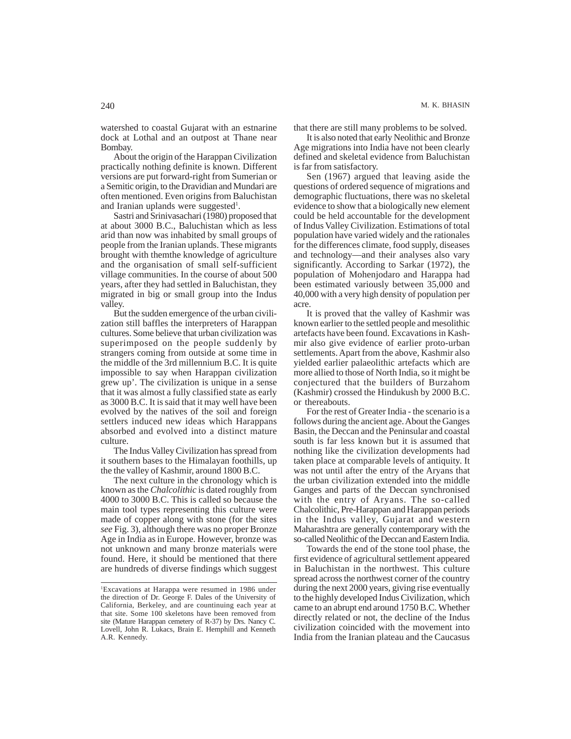watershed to coastal Gujarat with an estnarine dock at Lothal and an outpost at Thane near Bombay.

About the origin of the Harappan Civilization practically nothing definite is known. Different versions are put forward-right from Sumerian or a Semitic origin, to the Dravidian and Mundari are often mentioned. Even origins from Baluchistan and Iranian uplands were suggested<sup>1</sup>.

Sastri and Srinivasachari (1980) proposed that at about 3000 B.C., Baluchistan which as less arid than now was inhabited by small groups of people from the Iranian uplands. These migrants brought with themthe knowledge of agriculture and the organisation of small self-sufficient village communities. In the course of about 500 years, after they had settled in Baluchistan, they migrated in big or small group into the Indus valley.

But the sudden emergence of the urban civilization still baffles the interpreters of Harappan cultures. Some believe that urban civilization was superimposed on the people suddenly by strangers coming from outside at some time in the middle of the 3rd millennium B.C. It is quite impossible to say when Harappan civilization grew up'. The civilization is unique in a sense that it was almost a fully classified state as early as 3000 B.C. It is said that it may well have been evolved by the natives of the soil and foreign settlers induced new ideas which Harappans absorbed and evolved into a distinct mature culture.

The Indus Valley Civilization has spread from it southern bases to the Himalayan foothills, up the the valley of Kashmir, around 1800 B.C.

The next culture in the chronology which is known as the *Chalcolithic* is dated roughly from 4000 to 3000 B.C. This is called so because the main tool types representing this culture were made of copper along with stone (for the sites *see* Fig. 3), although there was no proper Bronze Age in India as in Europe. However, bronze was not unknown and many bronze materials were found. Here, it should be mentioned that there are hundreds of diverse findings which suggest that there are still many problems to be solved.

It is also noted that early Neolithic and Bronze Age migrations into India have not been clearly defined and skeletal evidence from Baluchistan is far from satisfactory.

Sen (1967) argued that leaving aside the questions of ordered sequence of migrations and demographic fluctuations, there was no skeletal evidence to show that a biologically new element could be held accountable for the development of Indus Valley Civilization. Estimations of total population have varied widely and the rationales for the differences climate, food supply, diseases and technology—and their analyses also vary significantly. According to Sarkar (1972), the population of Mohenjodaro and Harappa had been estimated variously between 35,000 and 40,000 with a very high density of population per acre.

It is proved that the valley of Kashmir was known earlier to the settled people and mesolithic artefacts have been found. Excavations in Kashmir also give evidence of earlier proto-urban settlements. Apart from the above, Kashmir also yielded earlier palaeolithic artefacts which are more allied to those of North India, so it might be conjectured that the builders of Burzahom (Kashmir) crossed the Hindukush by 2000 B.C. or thereabouts.

For the rest of Greater India - the scenario is a follows during the ancient age. About the Ganges Basin, the Deccan and the Peninsular and coastal south is far less known but it is assumed that nothing like the civilization developments had taken place at comparable levels of antiquity. It was not until after the entry of the Aryans that the urban civilization extended into the middle Ganges and parts of the Deccan synchronised with the entry of Aryans. The so-called Chalcolithic, Pre-Harappan and Harappan periods in the Indus valley, Gujarat and western Maharashtra are generally contemporary with the so-called Neolithic of the Deccan and Eastern India.

Towards the end of the stone tool phase, the first evidence of agricultural settlement appeared in Baluchistan in the northwest. This culture spread across the northwest corner of the country during the next 2000 years, giving rise eventually to the highly developed Indus Civilization, which came to an abrupt end around 1750 B.C. Whether directly related or not, the decline of the Indus civilization coincided with the movement into India from the Iranian plateau and the Caucasus

<sup>1</sup> Excavations at Harappa were resumed in 1986 under the direction of Dr. George F. Dales of the University of California, Berkeley, and are countinuing each year at that site. Some 100 skeletons have been removed from site (Mature Harappan cemetery of R-37) by Drs. Nancy C. Lovell, John R. Lukacs, Brain E. Hemphill and Kenneth A.R. Kennedy.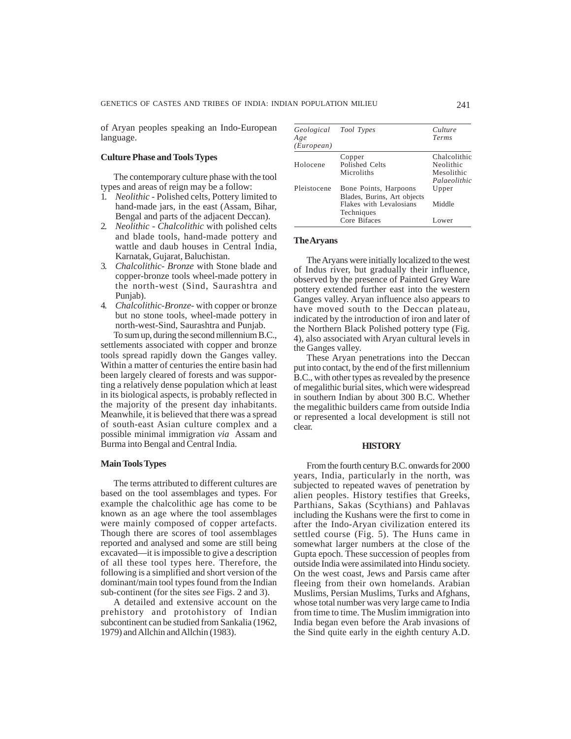of Aryan peoples speaking an Indo-European language.

#### **Culture Phase and Tools Types**

The contemporary culture phase with the tool types and areas of reign may be a follow:

- 1. *Neolithic* Polished celts, Pottery limited to hand-made jars, in the east (Assam, Bihar, Bengal and parts of the adjacent Deccan).
- 2. *Neolithic Chalcolithic* with polished celts and blade tools, hand-made pottery and wattle and daub houses in Central India, Karnatak, Gujarat, Baluchistan.
- 3. *Chalcolithic Bronze* with Stone blade and copper-bronze tools wheel-made pottery in the north-west (Sind, Saurashtra and Punjab).
- 4. *Chalcolithic*-*Bronze* with copper or bronze but no stone tools, wheel-made pottery in north-west-Sind, Saurashtra and Punjab.

To sum up, during the second millennium B.C., settlements associated with copper and bronze tools spread rapidly down the Ganges valley. Within a matter of centuries the entire basin had been largely cleared of forests and was supporting a relatively dense population which at least in its biological aspects, is probably reflected in the majority of the present day inhabitants. Meanwhile, it is believed that there was a spread of south-east Asian culture complex and a possible minimal immigration *via* Assam and Burma into Bengal and Central India.

#### **Main Tools Types**

The terms attributed to different cultures are based on the tool assemblages and types. For example the chalcolithic age has come to be known as an age where the tool assemblages were mainly composed of copper artefacts. Though there are scores of tool assemblages reported and analysed and some are still being excavated—it is impossible to give a description of all these tool types here. Therefore, the following is a simplified and short version of the dominant/main tool types found from the Indian sub-continent (for the sites *see* Figs. 2 and 3).

A detailed and extensive account on the prehistory and protohistory of Indian subcontinent can be studied from Sankalia (1962, 1979) and Allchin and Allchin (1983).

| Geological<br>Age<br>(European) | Tool Types                                                           | Culture<br>Terms |
|---------------------------------|----------------------------------------------------------------------|------------------|
|                                 | Copper                                                               | Chalcolithic     |
| Holocene                        | Polished Celts                                                       | Neolithic        |
|                                 | Microliths                                                           | Mesolithic       |
|                                 |                                                                      | Palaeolithic     |
| Pleistocene                     | Bone Points, Harpoons                                                | Upper            |
|                                 | Blades, Burins, Art objects<br>Flakes with Levalosians<br>Techniques | Middle           |
|                                 | Core Bifaces                                                         | Lower            |

## **The Aryans**

The Aryans were initially localized to the west of Indus river, but gradually their influence, observed by the presence of Painted Grey Ware pottery extended further east into the western Ganges valley. Aryan influence also appears to have moved south to the Deccan plateau, indicated by the introduction of iron and later of the Northern Black Polished pottery type (Fig. 4), also associated with Aryan cultural levels in the Ganges valley.

These Aryan penetrations into the Deccan put into contact, by the end of the first millennium B.C., with other types as revealed by the presence of megalithic burial sites, which were widespread in southern Indian by about 300 B.C. Whether the megalithic builders came from outside India or represented a local development is still not clear.

#### **HISTORY**

From the fourth century B.C. onwards for 2000 years, India, particularly in the north, was subjected to repeated waves of penetration by alien peoples. History testifies that Greeks, Parthians, Sakas (Scythians) and Pahlavas including the Kushans were the first to come in after the Indo-Aryan civilization entered its settled course (Fig. 5). The Huns came in somewhat larger numbers at the close of the Gupta epoch. These succession of peoples from outside India were assimilated into Hindu society. On the west coast, Jews and Parsis came after fleeing from their own homelands. Arabian Muslims, Persian Muslims, Turks and Afghans, whose total number was very large came to India from time to time. The Muslim immigration into India began even before the Arab invasions of the Sind quite early in the eighth century A.D.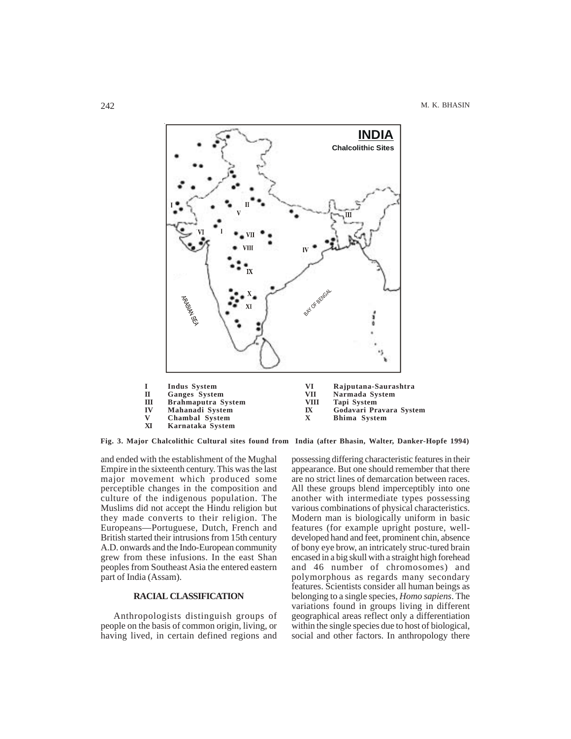

**Fig. 3. Major Chalcolithic Cultural sites found from India (after Bhasin, Walter, Danker-Hopfe 1994)**

and ended with the establishment of the Mughal Empire in the sixteenth century. This was the last major movement which produced some perceptible changes in the composition and culture of the indigenous population. The Muslims did not accept the Hindu religion but they made converts to their religion. The Europeans—Portuguese, Dutch, French and British started their intrusions from 15th century A.D. onwards and the Indo-European community grew from these infusions. In the east Shan peoples from Southeast Asia the entered eastern part of India (Assam).

# **RACIAL CLASSIFICATION**

Anthropologists distinguish groups of people on the basis of common origin, living, or having lived, in certain defined regions and

possessing differing characteristic features in their appearance. But one should remember that there are no strict lines of demarcation between races. All these groups blend imperceptibly into one another with intermediate types possessing various combinations of physical characteristics. Modern man is biologically uniform in basic features (for example upright posture, welldeveloped hand and feet, prominent chin, absence of bony eye brow, an intricately struc-tured brain encased in a big skull with a straight high forehead and 46 number of chromosomes) and polymorphous as regards many secondary features. Scientists consider all human beings as belonging to a single species, *Homo sapiens*. The variations found in groups living in different geographical areas reflect only a differentiation within the single species due to host of biological, social and other factors. In anthropology there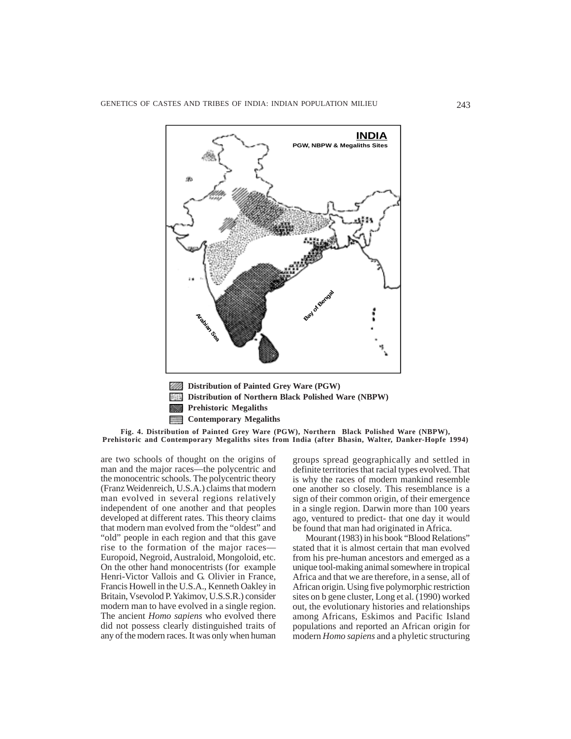

- **Distribution of Northern Black Polished Ware (NBPW)** 緬
- **Prehistoric Megaliths**
- l **Contemporary Megaliths**

**Fig. 4. Distribution of Painted Grey Ware (PGW), Northern Black Polished Ware (NBPW), Prehistoric and Contemporary Megaliths sites from India (after Bhasin, Walter, Danker-Hopfe 1994)**

are two schools of thought on the origins of man and the major races—the polycentric and the monocentric schools. The polycentric theory (Franz Weidenreich, U.S.A.) claims that modern man evolved in several regions relatively independent of one another and that peoples developed at different rates. This theory claims that modern man evolved from the "oldest" and "old" people in each region and that this gave rise to the formation of the major races— Europoid, Negroid, Australoid, Mongoloid, etc. On the other hand monocentrists (for example Henri-Victor Vallois and G. Olivier in France, Francis Howell in the U.S.A., Kenneth Oakley in Britain, Vsevolod P. Yakimov, U.S.S.R.) consider modern man to have evolved in a single region. The ancient *Homo sapiens* who evolved there did not possess clearly distinguished traits of any of the modern races. It was only when human groups spread geographically and settled in definite territories that racial types evolved. That is why the races of modern mankind resemble one another so closely. This resemblance is a sign of their common origin, of their emergence in a single region. Darwin more than 100 years ago, ventured to predict- that one day it would be found that man had originated in Africa.

Mourant (1983) in his book "Blood Relations" stated that it is almost certain that man evolved from his pre-human ancestors and emerged as a unique tool-making animal somewhere in tropical Africa and that we are therefore, in a sense, all of African origin. Using five polymorphic restriction sites on b gene cluster, Long et al. (1990) worked out, the evolutionary histories and relationships among Africans, Eskimos and Pacific Island populations and reported an African origin for modern *Homo sapiens* and a phyletic structuring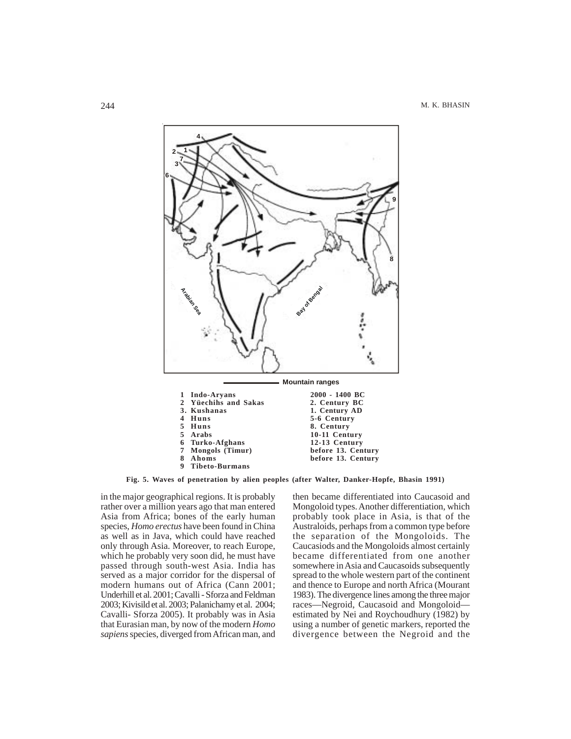

| 1 Indo-Arvans        | $2000 - 1400 \text{ BC}$ |
|----------------------|--------------------------|
| 2 Yüechihs and Sakas | 2. Century BC            |
| 3. Kushanas          | 1. Century AD            |
| 4 Huns               | 5-6 Century              |
| 5 Huns               | 8. Century               |
| 5 Arabs              | 10-11 Century            |
| 6 Turko-Afghans      | 12-13 Century            |
| 7 Mongols (Timur)    | before 13. Century       |
| 8 Ahoms              | before 13. Century       |
| 9 Tibeto-Burmans     |                          |
|                      |                          |

**Fig. 5. Waves of penetration by alien peoples (after Walter, Danker-Hopfe, Bhasin 1991)**

in the major geographical regions. It is probably rather over a million years ago that man entered Asia from Africa; bones of the early human species, *Homo erectus* have been found in China as well as in Java, which could have reached only through Asia. Moreover, to reach Europe, which he probably very soon did, he must have passed through south-west Asia. India has served as a major corridor for the dispersal of modern humans out of Africa (Cann 2001; Underhill et al. 2001; Cavalli - Sforza and Feldman 2003; Kivisild et al. 2003; Palanichamy et al. 2004; Cavalli- Sforza 2005). It probably was in Asia that Eurasian man, by now of the modern *Homo sapiens* species, diverged from African man, and

then became differentiated into Caucasoid and Mongoloid types. Another differentiation, which probably took place in Asia, is that of the Australoids, perhaps from a common type before the separation of the Mongoloids. The Caucasiods and the Mongoloids almost certainly became differentiated from one another somewhere in Asia and Caucasoids subsequently spread to the whole western part of the continent and thence to Europe and north Africa (Mourant 1983). The divergence lines among the three major races—Negroid, Caucasoid and Mongoloid estimated by Nei and Roychoudhury (1982) by using a number of genetic markers, reported the divergence between the Negroid and the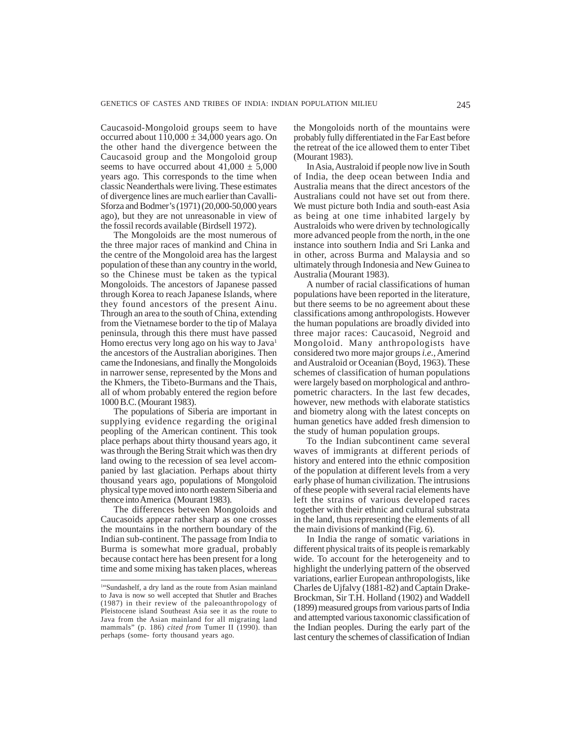Caucasoid-Mongoloid groups seem to have occurred about  $110,000 \pm 34,000$  years ago. On the other hand the divergence between the Caucasoid group and the Mongoloid group seems to have occurred about  $41,000 \pm 5,000$ years ago. This corresponds to the time when classic Neanderthals were living. These estimates of divergence lines are much earlier than Cavalli-Sforza and Bodmer's (1971) (20,000-50,000 years ago), but they are not unreasonable in view of the fossil records available (Birdsell 1972).

The Mongoloids are the most numerous of the three major races of mankind and China in the centre of the Mongoloid area has the largest population of these than any country in the world, so the Chinese must be taken as the typical Mongoloids. The ancestors of Japanese passed through Korea to reach Japanese Islands, where they found ancestors of the present Ainu. Through an area to the south of China, extending from the Vietnamese border to the tip of Malaya peninsula, through this there must have passed Homo erectus very long ago on his way to Java<sup>1</sup> the ancestors of the Australian aborigines. Then came the Indonesians, and finally the Mongoloids in narrower sense, represented by the Mons and the Khmers, the Tibeto-Burmans and the Thais, all of whom probably entered the region before 1000 B.C. (Mourant 1983).

The populations of Siberia are important in supplying evidence regarding the original peopling of the American continent. This took place perhaps about thirty thousand years ago, it was through the Bering Strait which was then dry land owing to the recession of sea level accompanied by last glaciation. Perhaps about thirty thousand years ago, populations of Mongoloid physical type moved into north eastern Siberia and thence into America (Mourant 1983).

The differences between Mongoloids and Caucasoids appear rather sharp as one crosses the mountains in the northern boundary of the Indian sub-continent. The passage from India to Burma is somewhat more gradual, probably because contact here has been present for a long time and some mixing has taken places, whereas

the Mongoloids north of the mountains were probably fully differentiated in the Far East before the retreat of the ice allowed them to enter Tibet (Mourant 1983).

In Asia, Australoid if people now live in South of India, the deep ocean between India and Australia means that the direct ancestors of the Australians could not have set out from there. We must picture both India and south-east Asia as being at one time inhabited largely by Australoids who were driven by technologically more advanced people from the north, in the one instance into southern India and Sri Lanka and in other, across Burma and Malaysia and so ultimately through Indonesia and New Guinea to Australia (Mourant 1983).

A number of racial classifications of human populations have been reported in the literature, but there seems to be no agreement about these classifications among anthropologists. However the human populations are broadly divided into three major races: Caucasoid, Negroid and Mongoloid. Many anthropologists have considered two more major groups *i.e.,* Amerind and Australoid or Oceanian (Boyd, 1963). These schemes of classification of human populations were largely based on morphological and anthropometric characters. In the last few decades, however, new methods with elaborate statistics and biometry along with the latest concepts on human genetics have added fresh dimension to the study of human population groups.

To the Indian subcontinent came several waves of immigrants at different periods of history and entered into the ethnic composition of the population at different levels from a very early phase of human civilization. The intrusions of these people with several racial elements have left the strains of various developed races together with their ethnic and cultural substrata in the land, thus representing the elements of all the main divisions of mankind (Fig. 6).

In India the range of somatic variations in different physical traits of its people is remarkably wide. To account for the heterogeneity and to highlight the underlying pattern of the observed variations, earlier European anthropologists, like Charles de Ujfalvy (1881-82) and Captain Drake-Brockman, Sir T.H. Holland (1902) and Waddell (1899) measured groups from various parts of India and attempted various taxonomic classification of the Indian peoples. During the early part of the last century the schemes of classification of Indian

<sup>1</sup> "Sundashelf, a dry land as the route from Asian mainland to Java is now so well accepted that Shutler and Braches (1987) in their review of the paleoanthropology of Pleistocene island Southeast Asia see it as the route to Java from the Asian mainland for all migrating land mammals" (p. 186) *cited from* Tumer II (1990). than perhaps (some- forty thousand years ago.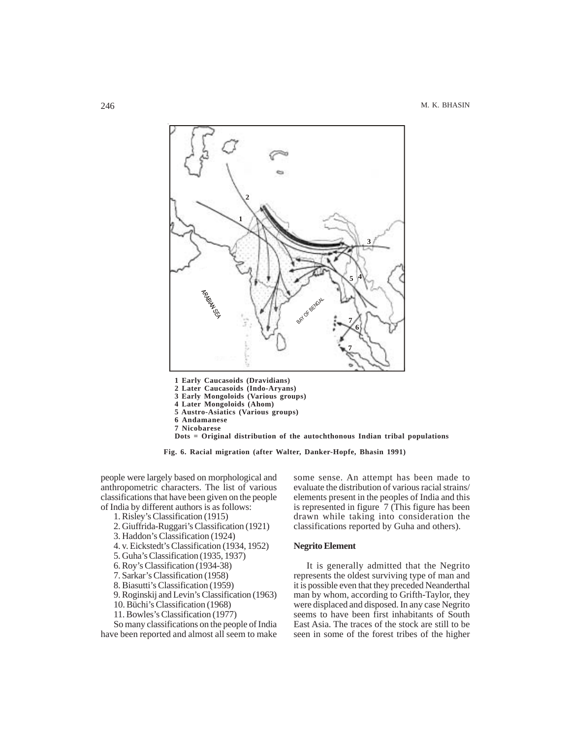246 M. K. BHASIN



**1 Early Caucasoids (Dravidians)**

- **2 Later Caucasoids (Indo-Aryans)**
- **3 Early Mongoloids (Various groups)**
- **4 Later Mongoloids (Ahom)**
- **5 Austro-Asiatics (Various groups)**
- **6 Andamanese**
- **7 Nicobarese**

**Dots = Original distribution of the autochthonous Indian tribal populations**

**Fig. 6. Racial migration (after Walter, Danker-Hopfe, Bhasin 1991)**

people were largely based on morphological and anthropometric characters. The list of various classifications that have been given on the people of India by different authors is as follows:

- 1. Risley's Classification (1915)
- 2. Giuffrida-Ruggari's Classification (1921)

3. Haddon's Classification (1924)

- 4. v. Eickstedt's Classification (1934, 1952)
- 5. Guha's Classification (1935, 1937)
- 6. Roy's Classification (1934-38)
- 7. Sarkar's Classification (1958)
- 8. Biasutti's Classification (1959)
- 
- 9. Roginskij and Levin's Classification (1963)
- 10. Büchi's Classification (1968)
- 11. Bowles's Classification (1977)

So many classifications on the people of India have been reported and almost all seem to make some sense. An attempt has been made to evaluate the distribution of various racial strains/ elements present in the peoples of India and this is represented in figure 7 (This figure has been drawn while taking into consideration the classifications reported by Guha and others).

#### **Negrito Element**

It is generally admitted that the Negrito represents the oldest surviving type of man and it is possible even that they preceded Neanderthal man by whom, according to Grifth-Taylor, they were displaced and disposed. In any case Negrito seems to have been first inhabitants of South East Asia. The traces of the stock are still to be seen in some of the forest tribes of the higher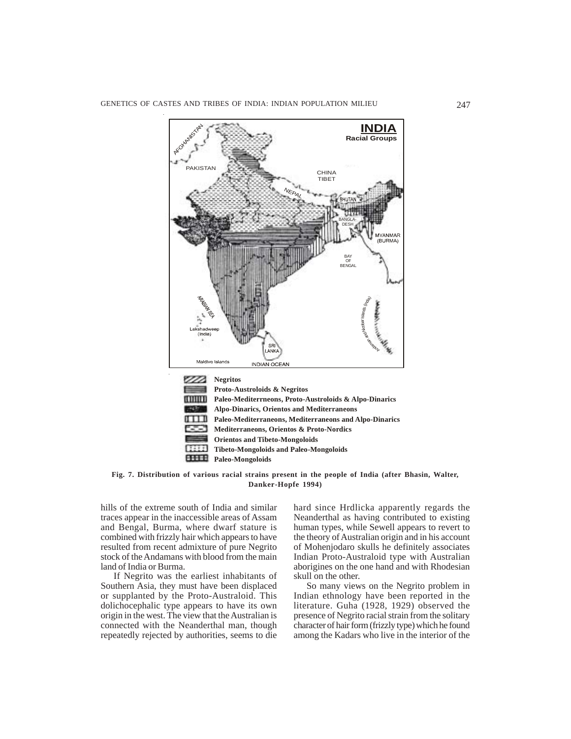

**Fig. 7. Distribution of various racial strains present in the people of India (after Bhasin, Walter, Danker-Hopfe 1994)**

hills of the extreme south of India and similar traces appear in the inaccessible areas of Assam and Bengal, Burma, where dwarf stature is combined with frizzly hair which appears to have resulted from recent admixture of pure Negrito stock of the Andamans with blood from the main land of India or Burma.

If Negrito was the earliest inhabitants of Southern Asia, they must have been displaced or supplanted by the Proto-Australoid. This dolichocephalic type appears to have its own origin in the west. The view that the Australian is connected with the Neanderthal man, though repeatedly rejected by authorities, seems to die

hard since Hrdlicka apparently regards the Neanderthal as having contributed to existing human types, while Sewell appears to revert to the theory of Australian origin and in his account of Mohenjodaro skulls he definitely associates Indian Proto-Australoid type with Australian aborigines on the one hand and with Rhodesian skull on the other.

So many views on the Negrito problem in Indian ethnology have been reported in the literature. Guha (1928, 1929) observed the presence of Negrito racial strain from the solitary character of hair form (frizzly type) which he found among the Kadars who live in the interior of the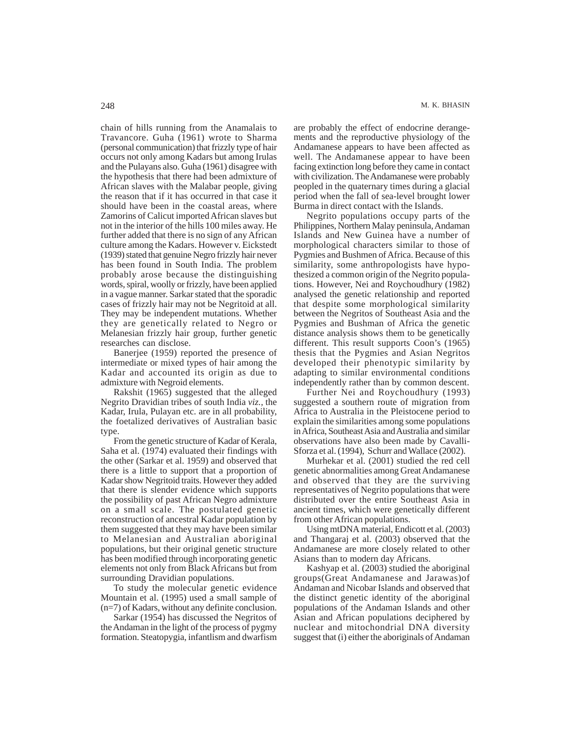chain of hills running from the Anamalais to Travancore. Guha (1961) wrote to Sharma (personal communication) that frizzly type of hair occurs not only among Kadars but among Irulas and the Pulayans also. Guha (1961) disagree with the hypothesis that there had been admixture of African slaves with the Malabar people, giving the reason that if it has occurred in that case it should have been in the coastal areas, where Zamorins of Calicut imported African slaves but not in the interior of the hills 100 miles away. He further added that there is no sign of any African culture among the Kadars. However v. Eickstedt (1939) stated that genuine Negro frizzly hair never has been found in South India. The problem probably arose because the distinguishing words, spiral, woolly or frizzly, have been applied in a vague manner. Sarkar stated that the sporadic cases of frizzly hair may not be Negritoid at all. They may be independent mutations. Whether they are genetically related to Negro or Melanesian frizzly hair group, further genetic researches can disclose.

Banerjee (1959) reported the presence of intermediate or mixed types of hair among the Kadar and accounted its origin as due to admixture with Negroid elements.

Rakshit (1965) suggested that the alleged Negrito Dravidian tribes of south India *viz.,* the Kadar, Irula, Pulayan etc. are in all probability, the foetalized derivatives of Australian basic type.

From the genetic structure of Kadar of Kerala, Saha et al. (1974) evaluated their findings with the other (Sarkar et al. 1959) and observed that there is a little to support that a proportion of Kadar show Negritoid traits. However they added that there is slender evidence which supports the possibility of past African Negro admixture on a small scale. The postulated genetic reconstruction of ancestral Kadar population by them suggested that they may have been similar to Melanesian and Australian aboriginal populations, but their original genetic structure has been modified through incorporating genetic elements not only from Black Africans but from surrounding Dravidian populations.

To study the molecular genetic evidence Mountain et al. (1995) used a small sample of (n=7) of Kadars, without any definite conclusion.

Sarkar (1954) has discussed the Negritos of the Andaman in the light of the process of pygmy formation. Steatopygia, infantlism and dwarfism

are probably the effect of endocrine derangements and the reproductive physiology of the Andamanese appears to have been affected as well. The Andamanese appear to have been facing extinction long before they came in contact with civilization. The Andamanese were probably peopled in the quaternary times during a glacial period when the fall of sea-level brought lower Burma in direct contact with the Islands.

Negrito populations occupy parts of the Philippines, Northern Malay peninsula, Andaman Islands and New Guinea have a number of morphological characters similar to those of Pygmies and Bushmen of Africa. Because of this similarity, some anthropologists have hypothesized a common origin of the Negrito populations. However, Nei and Roychoudhury (1982) analysed the genetic relationship and reported that despite some morphological similarity between the Negritos of Southeast Asia and the Pygmies and Bushman of Africa the genetic distance analysis shows them to be genetically different. This result supports Coon's (1965) thesis that the Pygmies and Asian Negritos developed their phenotypic similarity by adapting to similar environmental conditions independently rather than by common descent.

Further Nei and Roychoudhury (1993) suggested a southern route of migration from Africa to Australia in the Pleistocene period to explain the similarities among some populations in Africa, Southeast Asia and Australia and similar observations have also been made by Cavalli-Sforza et al. (1994), Schurr and Wallace (2002).

Murhekar et al. (2001) studied the red cell genetic abnormalities among Great Andamanese and observed that they are the surviving representatives of Negrito populations that were distributed over the entire Southeast Asia in ancient times, which were genetically different from other African populations.

Using mtDNA material, Endicott et al. (2003) and Thangaraj et al. (2003) observed that the Andamanese are more closely related to other Asians than to modern day Africans.

Kashyap et al. (2003) studied the aboriginal groups(Great Andamanese and Jarawas)of Andaman and Nicobar Islands and observed that the distinct genetic identity of the aboriginal populations of the Andaman Islands and other Asian and African populations deciphered by nuclear and mitochondrial DNA diversity suggest that (i) either the aboriginals of Andaman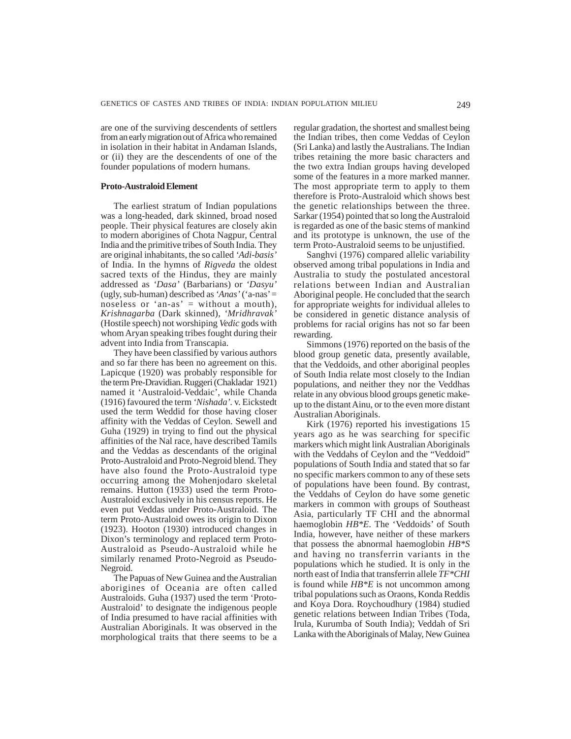are one of the surviving descendents of settlers from an early migration out of Africa who remained in isolation in their habitat in Andaman Islands, or (ii) they are the descendents of one of the founder populations of modern humans.

#### **Proto-Australoid Element**

The earliest stratum of Indian populations was a long-headed, dark skinned, broad nosed people. Their physical features are closely akin to modern aborigines of Chota Nagpur, Central India and the primitive tribes of South India. They are original inhabitants, the so called *'Adi-basis'* of India. In the hymns of *Rigveda* the oldest sacred texts of the Hindus, they are mainly addressed as *'Dasa'* (Barbarians) or *'Dasyu'* (ugly, sub-human) described as *'Anas'* ('a-nas' = noseless or 'an-as' = without a mouth), *Krishnagarba* (Dark skinned), *'Mridhravak'* (Hostile speech) not worshiping *Vedic* gods with whom Aryan speaking tribes fought during their advent into India from Transcapia.

They have been classified by various authors and so far there has been no agreement on this. Lapicque (1920) was probably responsible for the term Pre-Dravidian. Ruggeri (Chakladar 1921) named it 'Australoid-Veddaic', while Chanda (1916) favoured the term *'Nishada'.* v. Eickstedt used the term Weddid for those having closer affinity with the Veddas of Ceylon. Sewell and Guha (1929) in trying to find out the physical affinities of the Nal race, have described Tamils and the Veddas as descendants of the original Proto-Australoid and Proto-Negroid blend. They have also found the Proto-Australoid type occurring among the Mohenjodaro skeletal remains. Hutton (1933) used the term Proto-Australoid exclusively in his census reports. He even put Veddas under Proto-Australoid. The term Proto-Australoid owes its origin to Dixon (1923). Hooton (1930) introduced changes in Dixon's terminology and replaced term Proto-Australoid as Pseudo-Australoid while he similarly renamed Proto-Negroid as Pseudo-Negroid.

The Papuas of New Guinea and the Australian aborigines of Oceania are often called Australoids. Guha (1937) used the term 'Proto-Australoid' to designate the indigenous people of India presumed to have racial affinities with Australian Aboriginals. It was observed in the morphological traits that there seems to be a regular gradation, the shortest and smallest being the Indian tribes, then come Veddas of Ceylon (Sri Lanka) and lastly the Australians. The Indian tribes retaining the more basic characters and the two extra Indian groups having developed some of the features in a more marked manner. The most appropriate term to apply to them therefore is Proto-Australoid which shows best the genetic relationships between the three. Sarkar (1954) pointed that so long the Australoid is regarded as one of the basic stems of mankind and its prototype is unknown, the use of the term Proto-Australoid seems to be unjustified.

Sanghvi (1976) compared allelic variability observed among tribal populations in India and Australia to study the postulated ancestoral relations between Indian and Australian Aboriginal people. He concluded that the search for appropriate weights for individual alleles to be considered in genetic distance analysis of problems for racial origins has not so far been rewarding.

Simmons (1976) reported on the basis of the blood group genetic data, presently available, that the Veddoids, and other aboriginal peoples of South India relate most closely to the Indian populations, and neither they nor the Veddhas relate in any obvious blood groups genetic makeup to the distant Ainu, or to the even more distant Australian Aboriginals.

Kirk (1976) reported his investigations 15 years ago as he was searching for specific markers which might link Australian Aboriginals with the Veddahs of Ceylon and the "Veddoid" populations of South India and stated that so far no specific markers common to any of these sets of populations have been found. By contrast, the Veddahs of Ceylon do have some genetic markers in common with groups of Southeast Asia, particularly TF CHI and the abnormal haemoglobin *HB\*E*. The 'Veddoids' of South India, however, have neither of these markers that possess the abnormal haemoglobin *HB\*S* and having no transferrin variants in the populations which he studied. It is only in the north east of India that transferrin allele *TF\*CHI* is found while *HB\*E* is not uncommon among tribal populations such as Oraons, Konda Reddis and Koya Dora. Roychoudhury (1984) studied genetic relations between Indian Tribes (Toda, Irula, Kurumba of South India); Veddah of Sri Lanka with the Aboriginals of Malay, New Guinea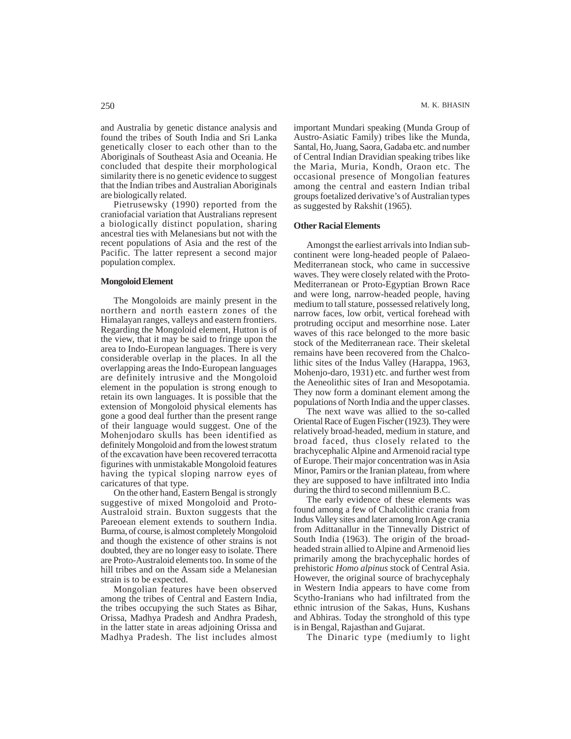and Australia by genetic distance analysis and found the tribes of South India and Sri Lanka genetically closer to each other than to the Aboriginals of Southeast Asia and Oceania. He concluded that despite their morphological similarity there is no genetic evidence to suggest that the Indian tribes and Australian Aboriginals are biologically related.

Pietrusewsky (1990) reported from the craniofacial variation that Australians represent a biologically distinct population, sharing ancestral ties with Melanesians but not with the recent populations of Asia and the rest of the Pacific. The latter represent a second major population complex.

#### **Mongoloid Element**

The Mongoloids are mainly present in the northern and north eastern zones of the Himalayan ranges, valleys and eastern frontiers. Regarding the Mongoloid element, Hutton is of the view, that it may be said to fringe upon the area to Indo-European languages. There is very considerable overlap in the places. In all the overlapping areas the Indo-European languages are definitely intrusive and the Mongoloid element in the population is strong enough to retain its own languages. It is possible that the extension of Mongoloid physical elements has gone a good deal further than the present range of their language would suggest. One of the Mohenjodaro skulls has been identified as definitely Mongoloid and from the lowest stratum of the excavation have been recovered terracotta figurines with unmistakable Mongoloid features having the typical sloping narrow eyes of caricatures of that type.

On the other hand, Eastern Bengal is strongly suggestive of mixed Mongoloid and Proto-Australoid strain. Buxton suggests that the Pareoean element extends to southern India. Burma, of course, is almost completely Mongoloid and though the existence of other strains is not doubted, they are no longer easy to isolate. There are Proto-Australoid elements too. In some of the hill tribes and on the Assam side a Melanesian strain is to be expected.

Mongolian features have been observed among the tribes of Central and Eastern India, the tribes occupying the such States as Bihar, Orissa, Madhya Pradesh and Andhra Pradesh, in the latter state in areas adjoining Orissa and Madhya Pradesh. The list includes almost

important Mundari speaking (Munda Group of Austro-Asiatic Family) tribes like the Munda, Santal, Ho, Juang, Saora, Gadaba etc. and number of Central Indian Dravidian speaking tribes like the Maria, Muria, Kondh, Oraon etc. The occasional presence of Mongolian features among the central and eastern Indian tribal groups foetalized derivative's of Australian types as suggested by Rakshit (1965).

# **Other Racial Elements**

Amongst the earliest arrivals into Indian subcontinent were long-headed people of Palaeo-Mediterranean stock, who came in successive waves. They were closely related with the Proto-Mediterranean or Proto-Egyptian Brown Race and were long, narrow-headed people, having medium to tall stature, possessed relatively long, narrow faces, low orbit, vertical forehead with protruding occiput and mesorrhine nose. Later waves of this race belonged to the more basic stock of the Mediterranean race. Their skeletal remains have been recovered from the Chalcolithic sites of the Indus Valley (Harappa, 1963, Mohenjo-daro, 1931) etc. and further west from the Aeneolithic sites of Iran and Mesopotamia. They now form a dominant element among the populations of North India and the upper classes.

The next wave was allied to the so-called Oriental Race of Eugen Fischer (1923). They were relatively broad-headed, medium in stature, and broad faced, thus closely related to the brachycephalic Alpine and Armenoid racial type of Europe. Their major concentration was in Asia Minor, Pamirs or the Iranian plateau, from where they are supposed to have infiltrated into India during the third to second millennium B.C.

The early evidence of these elements was found among a few of Chalcolithic crania from Indus Valley sites and later among Iron Age crania from Adittanallur in the Tinnevally District of South India (1963). The origin of the broadheaded strain allied to Alpine and Armenoid lies primarily among the brachycephalic hordes of prehistoric *Homo alpinus* stock of Central Asia. However, the original source of brachycephaly in Western India appears to have come from Scytho-Iranians who had infiltrated from the ethnic intrusion of the Sakas, Huns, Kushans and Abhiras. Today the stronghold of this type is in Bengal, Rajasthan and Gujarat.

The Dinaric type (mediumly to light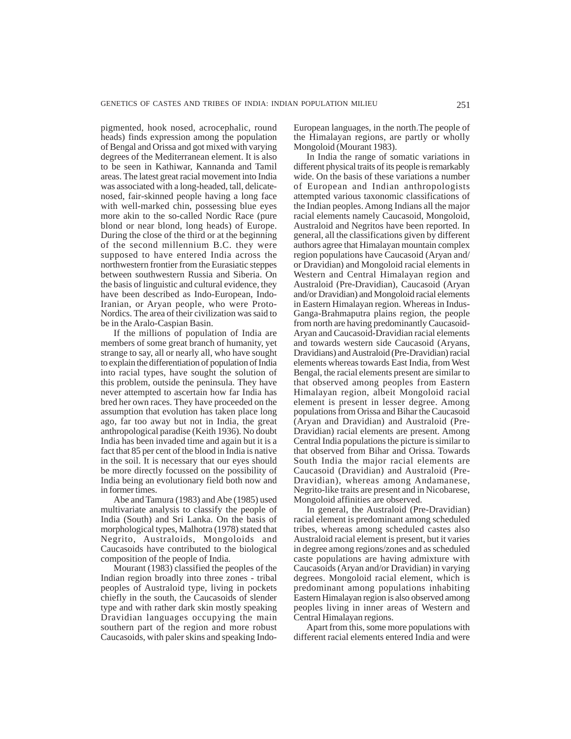pigmented, hook nosed, acrocephalic, round heads) finds expression among the population of Bengal and Orissa and got mixed with varying degrees of the Mediterranean element. It is also to be seen in Kathiwar, Kannanda and Tamil areas. The latest great racial movement into India was associated with a long-headed, tall, delicatenosed, fair-skinned people having a long face with well-marked chin, possessing blue eyes more akin to the so-called Nordic Race (pure blond or near blond, long heads) of Europe. During the close of the third or at the beginning of the second millennium B.C. they were supposed to have entered India across the northwestern frontier from the Eurasiatic steppes between southwestern Russia and Siberia. On the basis of linguistic and cultural evidence, they have been described as Indo-European, Indo-Iranian, or Aryan people, who were Proto-Nordics. The area of their civilization was said to be in the Aralo-Caspian Basin.

If the millions of population of India are members of some great branch of humanity, yet strange to say, all or nearly all, who have sought to explain the differentiation of population of India into racial types, have sought the solution of this problem, outside the peninsula. They have never attempted to ascertain how far India has bred her own races. They have proceeded on the assumption that evolution has taken place long ago, far too away but not in India, the great anthropological paradise (Keith 1936). No doubt India has been invaded time and again but it is a fact that 85 per cent of the blood in India is native in the soil. It is necessary that our eyes should be more directly focussed on the possibility of India being an evolutionary field both now and in former times.

Abe and Tamura (1983) and Abe (1985) used multivariate analysis to classify the people of India (South) and Sri Lanka. On the basis of morphological types, Malhotra (1978) stated that Negrito, Australoids, Mongoloids and Caucasoids have contributed to the biological composition of the people of India.

Mourant (1983) classified the peoples of the Indian region broadly into three zones - tribal peoples of Australoid type, living in pockets chiefly in the south, the Caucasoids of slender type and with rather dark skin mostly speaking Dravidian languages occupying the main southern part of the region and more robust Caucasoids, with paler skins and speaking IndoEuropean languages, in the north.The people of the Himalayan regions, are partly or wholly Mongoloid (Mourant 1983).

In India the range of somatic variations in different physical traits of its people is remarkably wide. On the basis of these variations a number of European and Indian anthropologists attempted various taxonomic classifications of the Indian peoples. Among Indians all the major racial elements namely Caucasoid, Mongoloid, Australoid and Negritos have been reported. In general, all the classifications given by different authors agree that Himalayan mountain complex region populations have Caucasoid (Aryan and/ or Dravidian) and Mongoloid racial elements in Western and Central Himalayan region and Australoid (Pre-Dravidian), Caucasoid (Aryan and/or Dravidian) and Mongoloid racial elements in Eastern Himalayan region. Whereas in Indus-Ganga-Brahmaputra plains region, the people from north are having predominantly Caucasoid-Aryan and Caucasoid-Dravidian racial elements and towards western side Caucasoid (Aryans, Dravidians) and Australoid (Pre-Dravidian) racial elements whereas towards East India, from West Bengal, the racial elements present are similar to that observed among peoples from Eastern Himalayan region, albeit Mongoloid racial element is present in lesser degree. Among populations from Orissa and Bihar the Caucasoid (Aryan and Dravidian) and Australoid (Pre-Dravidian) racial elements are present. Among Central India populations the picture is similar to that observed from Bihar and Orissa. Towards South India the major racial elements are Caucasoid (Dravidian) and Australoid (Pre-Dravidian), whereas among Andamanese, Negrito-like traits are present and in Nicobarese, Mongoloid affinities are observed.

In general, the Australoid (Pre-Dravidian) racial element is predominant among scheduled tribes, whereas among scheduled castes also Australoid racial element is present, but it varies in degree among regions/zones and as scheduled caste populations are having admixture with Caucasoids (Aryan and/or Dravidian) in varying degrees. Mongoloid racial element, which is predominant among populations inhabiting Eastern Himalayan region is also observed among peoples living in inner areas of Western and Central Himalayan regions.

Apart from this, some more populations with different racial elements entered India and were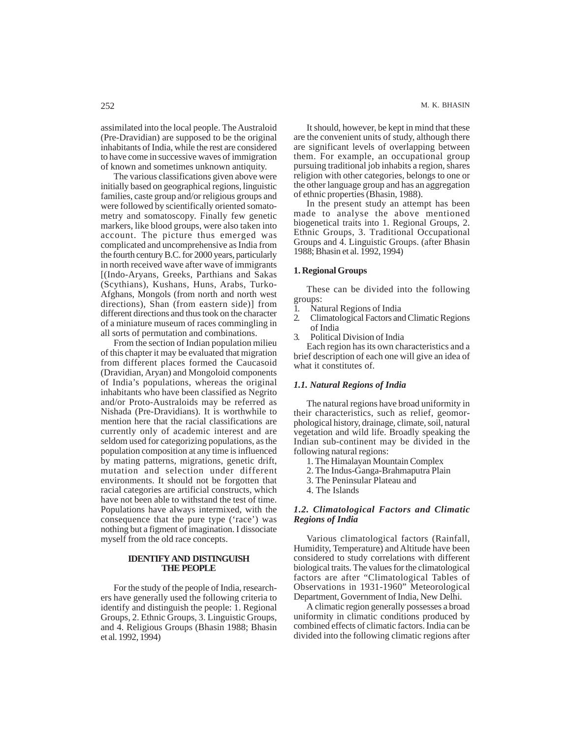assimilated into the local people. The Australoid (Pre-Dravidian) are supposed to be the original inhabitants of India, while the rest are considered to have come in successive waves of immigration of known and sometimes unknown antiquity.

The various classifications given above were initially based on geographical regions, linguistic families, caste group and/or religious groups and were followed by scientifically oriented somatometry and somatoscopy. Finally few genetic markers, like blood groups, were also taken into account. The picture thus emerged was complicated and uncomprehensive as India from the fourth century B.C. for 2000 years, particularly in north received wave after wave of immigrants [(Indo-Aryans, Greeks, Parthians and Sakas (Scythians), Kushans, Huns, Arabs, Turko-Afghans, Mongols (from north and north west directions), Shan (from eastern side)] from different directions and thus took on the character of a miniature museum of races commingling in all sorts of permutation and combinations.

From the section of Indian population milieu of this chapter it may be evaluated that migration from different places formed the Caucasoid (Dravidian, Aryan) and Mongoloid components of India's populations, whereas the original inhabitants who have been classified as Negrito and/or Proto-Australoids may be referred as Nishada (Pre-Dravidians). It is worthwhile to mention here that the racial classifications are currently only of academic interest and are seldom used for categorizing populations, as the population composition at any time is influenced by mating patterns, migrations, genetic drift, mutation and selection under different environments. It should not be forgotten that racial categories are artificial constructs, which have not been able to withstand the test of time. Populations have always intermixed, with the consequence that the pure type ('race') was nothing but a figment of imagination. I dissociate myself from the old race concepts.

# **IDENTIFY AND DISTINGUISH THE PEOPLE**

For the study of the people of India, researchers have generally used the following criteria to identify and distinguish the people: 1. Regional Groups, 2. Ethnic Groups, 3. Linguistic Groups, and 4. Religious Groups (Bhasin 1988; Bhasin et al. 1992, 1994)

It should, however, be kept in mind that these are the convenient units of study, although there are significant levels of overlapping between them. For example, an occupational group pursuing traditional job inhabits a region, shares religion with other categories, belongs to one or the other language group and has an aggregation of ethnic properties (Bhasin, 1988).

In the present study an attempt has been made to analyse the above mentioned biogenetical traits into 1. Regional Groups, 2. Ethnic Groups, 3. Traditional Occupational Groups and 4. Linguistic Groups. (after Bhasin 1988; Bhasin et al. 1992, 1994)

# **1. Regional Groups**

These can be divided into the following groups:

- 1. Natural Regions of India
- 2. Climatological Factors and Climatic Regions of India
- 3. Political Division of India

Each region has its own characteristics and a brief description of each one will give an idea of what it constitutes of.

#### *1.1. Natural Regions of India*

The natural regions have broad uniformity in their characteristics, such as relief, geomorphological history, drainage, climate, soil, natural vegetation and wild life. Broadly speaking the Indian sub-continent may be divided in the following natural regions:

- 1. The Himalayan Mountain Complex
- 2. The Indus-Ganga-Brahmaputra Plain
- 3. The Peninsular Plateau and
- 4. The Islands

#### *1.2. Climatological Factors and Climatic Regions of India*

Various climatological factors (Rainfall, Humidity, Temperature) and Altitude have been considered to study correlations with different biological traits. The values for the climatological factors are after "Climatological Tables of Observations in 1931-1960" Meteorological Department, Government of India, New Delhi.

A climatic region generally possesses a broad uniformity in climatic conditions produced by combined effects of climatic factors. India can be divided into the following climatic regions after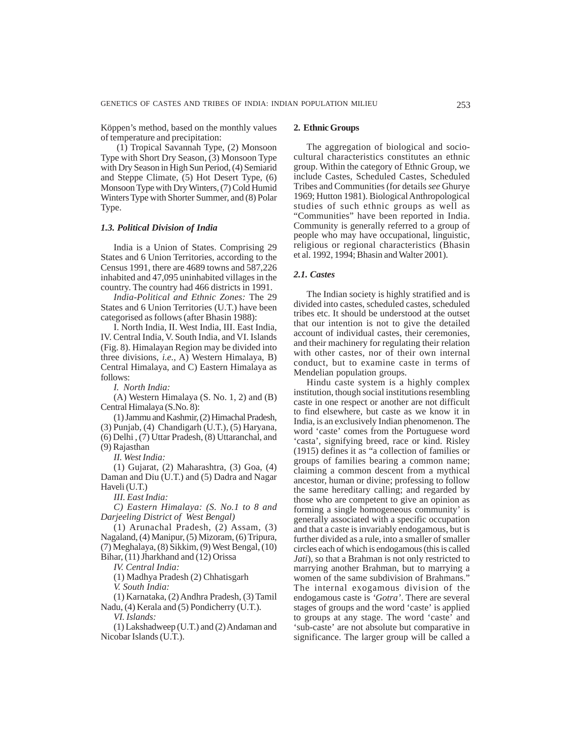Köppen's method, based on the monthly values of temperature and precipitation:

 (1) Tropical Savannah Type, (2) Monsoon Type with Short Dry Season, (3) Monsoon Type with Dry Season in High Sun Period, (4) Semiarid and Steppe Climate, (5) Hot Desert Type, (6) Monsoon Type with Dry Winters, (7) Cold Humid Winters Type with Shorter Summer, and (8) Polar Type.

#### *1.3. Political Division of India*

India is a Union of States. Comprising 29 States and 6 Union Territories, according to the Census 1991, there are 4689 towns and 587,226 inhabited and 47,095 uninhabited villages in the country. The country had 466 districts in 1991.

*India-Political and Ethnic Zones:* The 29 States and 6 Union Territories (U.T.) have been categorised as follows (after Bhasin 1988):

I. North India, II. West India, III. East India, IV. Central India, V. South India, and VI. Islands (Fig. 8). Himalayan Region may be divided into three divisions, *i.e.,* A) Western Himalaya, B) Central Himalaya, and C) Eastern Himalaya as follows:

*I. North India:*

(A) Western Himalaya (S. No. 1, 2) and (B) Central Himalaya (S.No. 8):

(1) Jammu and Kashmir, (2) Himachal Pradesh, (3) Punjab, (4) Chandigarh (U.T.), (5) Haryana, (6) Delhi , (7) Uttar Pradesh, (8) Uttaranchal, and

(9) Rajasthan *II. West India:*

(1) Gujarat, (2) Maharashtra, (3) Goa, (4) Daman and Diu (U.T.) and (5) Dadra and Nagar Haveli (U.T.)

*III. East India:*

*C) Eastern Himalaya: (S. No.1 to 8 and Darjeeling District of West Bengal)*

(1) Arunachal Pradesh, (2) Assam, (3) Nagaland, (4) Manipur, (5) Mizoram, (6) Tripura, (7) Meghalaya, (8) Sikkim, (9) West Bengal, (10) Bihar, (11) Jharkhand and (12) Orissa

*IV. Central India:*

(1) Madhya Pradesh (2) Chhatisgarh

*V. South India:*

(1) Karnataka, (2) Andhra Pradesh, (3) Tamil Nadu, (4) Kerala and (5) Pondicherry (U.T.).

*VI. Islands:*

(1) Lakshadweep (U.T.) and (2) Andaman and Nicobar Islands (U.T.).

# **2. Ethnic Groups**

The aggregation of biological and sociocultural characteristics constitutes an ethnic group. Within the category of Ethnic Group, we include Castes, Scheduled Castes, Scheduled Tribes and Communities (for details *see* Ghurye 1969; Hutton 1981). Biological Anthropological studies of such ethnic groups as well as "Communities" have been reported in India. Community is generally referred to a group of people who may have occupational, linguistic, religious or regional characteristics (Bhasin et al. 1992, 1994; Bhasin and Walter 2001).

#### *2.1. Castes*

The Indian society is highly stratified and is divided into castes, scheduled castes, scheduled tribes etc. It should be understood at the outset that our intention is not to give the detailed account of individual castes, their ceremonies, and their machinery for regulating their relation with other castes, nor of their own internal conduct, but to examine caste in terms of Mendelian population groups.

Hindu caste system is a highly complex institution, though social institutions resembling caste in one respect or another are not difficult to find elsewhere, but caste as we know it in India, is an exclusively Indian phenomenon. The word 'caste' comes from the Portuguese word 'casta', signifying breed, race or kind. Risley (1915) defines it as "a collection of families or groups of families bearing a common name; claiming a common descent from a mythical ancestor, human or divine; professing to follow the same hereditary calling; and regarded by those who are competent to give an opinion as forming a single homogeneous community' is generally associated with a specific occupation and that a caste is invariably endogamous, but is further divided as a rule, into a smaller of smaller circles each of which is endogamous (this is called *Jati*), so that a Brahman is not only restricted to marrying another Brahman, but to marrying a women of the same subdivision of Brahmans." The internal exogamous division of the endogamous caste is *'Gotra'*. There are several stages of groups and the word 'caste' is applied to groups at any stage. The word 'caste' and 'sub-caste' are not absolute but comparative in significance. The larger group will be called a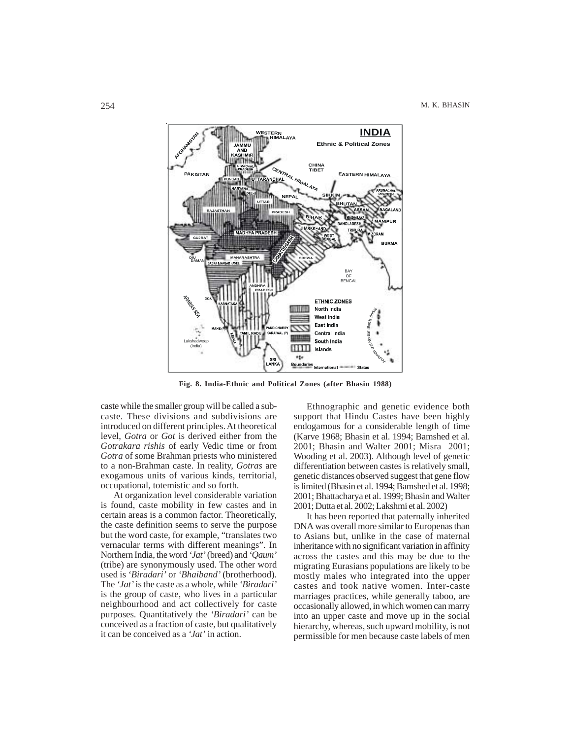

**Fig. 8. India-Ethnic and Political Zones (after Bhasin 1988)**

caste while the smaller group will be called a subcaste. These divisions and subdivisions are introduced on different principles. At theoretical level, *Gotra* or *Got* is derived either from the *Gotrakara rishis* of early Vedic time or from *Gotra* of some Brahman priests who ministered to a non-Brahman caste. In reality, *Gotras* are exogamous units of various kinds, territorial, occupational, totemistic and so forth.

At organization level considerable variation is found, caste mobility in few castes and in certain areas is a common factor. Theoretically, the caste definition seems to serve the purpose but the word caste, for example, "translates two vernacular terms with different meanings". In Northern India, the word *'Jat'* (breed) and *'Qaum'* (tribe) are synonymously used. The other word used is *'Biradari'* or *'Bhaiband'* (brotherhood). The *'Jat'* is the caste as a whole, while *'Biradari'* is the group of caste, who lives in a particular neighbourhood and act collectively for caste purposes. Quantitatively the *'Biradari'* can be conceived as a fraction of caste, but qualitatively it can be conceived as a *'Jat'* in action.

Ethnographic and genetic evidence both support that Hindu Castes have been highly endogamous for a considerable length of time (Karve 1968; Bhasin et al. 1994; Bamshed et al. 2001; Bhasin and Walter 2001; Misra 2001; Wooding et al. 2003). Although level of genetic differentiation between castes is relatively small, genetic distances observed suggest that gene flow is limited (Bhasin et al. 1994; Bamshed et al. 1998; 2001; Bhattacharya et al. 1999; Bhasin and Walter 2001; Dutta et al. 2002; Lakshmi et al. 2002)

It has been reported that paternally inherited DNA was overall more similar to Europenas than to Asians but, unlike in the case of maternal inheritance with no significant variation in affinity across the castes and this may be due to the migrating Eurasians populations are likely to be mostly males who integrated into the upper castes and took native women. Inter-caste marriages practices, while generally taboo, are occasionally allowed, in which women can marry into an upper caste and move up in the social hierarchy, whereas, such upward mobility, is not permissible for men because caste labels of men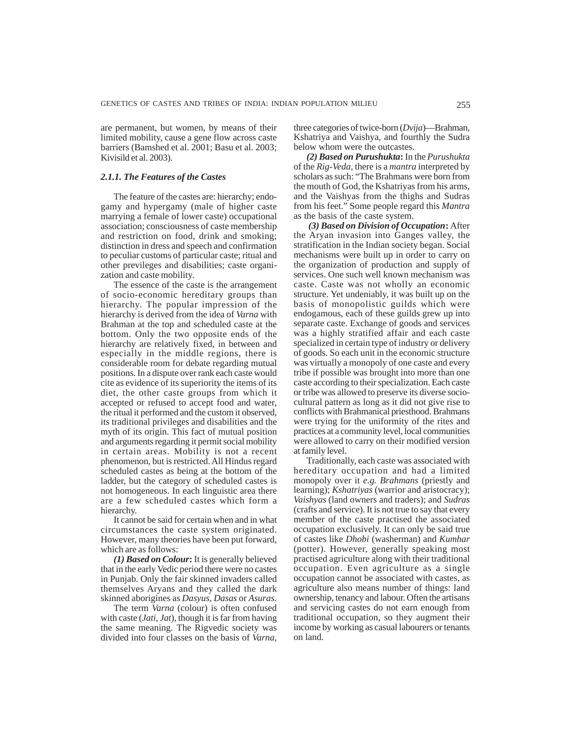are permanent, but women, by means of their limited mobility, cause a gene flow across caste barriers (Bamshed et al. 2001; Basu et al. 2003; Kivisild et al. 2003).

#### *2.1.1. The Features of the Castes*

The feature of the castes are: hierarchy; endogamy and hypergamy (male of higher caste marrying a female of lower caste) occupational association; consciousness of caste membership and restriction on food, drink and smoking; distinction in dress and speech and confirmation to peculiar customs of particular caste; ritual and other previleges and disabilities; caste organization and caste mobility.

The essence of the caste is the arrangement of socio-economic hereditary groups than hierarchy. The popular impression of the hierarchy is derived from the idea of *Varna* with Brahman at the top and scheduled caste at the bottom. Only the two opposite ends of the hierarchy are relatively fixed, in between and especially in the middle regions, there is considerable room for debate regarding mutual positions. In a dispute over rank each caste would cite as evidence of its superiority the items of its diet, the other caste groups from which it accepted or refused to accept food and water, the ritual it performed and the custom it observed, its traditional privileges and disabilities and the myth of its origin. This fact of mutual position and arguments regarding it permit social mobility in certain areas. Mobility is not a recent phenomenon, but is restricted. All Hindus regard scheduled castes as being at the bottom of the ladder, but the category of scheduled castes is not homogeneous. In each linguistic area there are a few scheduled castes which form a hierarchy.

It cannot be said for certain when and in what circumstances the caste system originated. However, many theories have been put forward, which are as follows:

*(1) Based on Colour***:** It is generally believed that in the early Vedic period there were no castes in Punjab. Only the fair skinned invaders called themselves Aryans and they called the dark skinned aborigines as *Dasyus, Dasas* or *Asuras*.

The term *Varna* (colour) is often confused with caste (*Jati, Jat*), though it is far from having the same meaning. The Rigvedic society was divided into four classes on the basis of *Varna,*

three categories of twice-born (*Dvija*)—Brahman, Kshatriya and Vaishya, and fourthly the Sudra below whom were the outcastes.

*(2) Based on Purushukta***:** In the *Purushukta* of the *Rig-Veda,* there is a *mantra* interpreted by scholars as such: "The Brahmans were born from the mouth of God, the Kshatriyas from his arms, and the Vaishyas from the thighs and Sudras from his feet." Some people regard this *Mantra* as the basis of the caste system.

 *(3) Based on Division of Occupation***:** After the Aryan invasion into Ganges valley, the stratification in the Indian society began. Social mechanisms were built up in order to carry on the organization of production and supply of services. One such well known mechanism was caste. Caste was not wholly an economic structure. Yet undeniably, it was built up on the basis of monopolistic guilds which were endogamous, each of these guilds grew up into separate caste. Exchange of goods and services was a highly stratified affair and each caste specialized in certain type of industry or delivery of goods. So each unit in the economic structure was virtually a monopoly of one caste and every tribe if possible was brought into more than one caste according to their specialization. Each caste or tribe was allowed to preserve its diverse sociocultural pattern as long as it did not give rise to conflicts with Brahmanical priesthood. Brahmans were trying for the uniformity of the rites and practices at a community level, local communities were allowed to carry on their modified version at family level.

Traditionally, each caste was associated with hereditary occupation and had a limited monopoly over it *e.g. Brahmans* (priestly and learning); *Kshatriyas* (warrior and aristocracy); *Vaishyas* (land owners and traders); and *Sudras* (crafts and service). It is not true to say that every member of the caste practised the associated occupation exclusively. It can only be said true of castes like *Dhobi* (washerman) and *Kumhar* (potter). However, generally speaking most practised agriculture along with their traditional occupation. Even agriculture as a single occupation cannot be associated with castes, as agriculture also means number of things: land ownership, tenancy and labour. Often the artisans and servicing castes do not earn enough from traditional occupation, so they augment their income by working as casual labourers or tenants on land.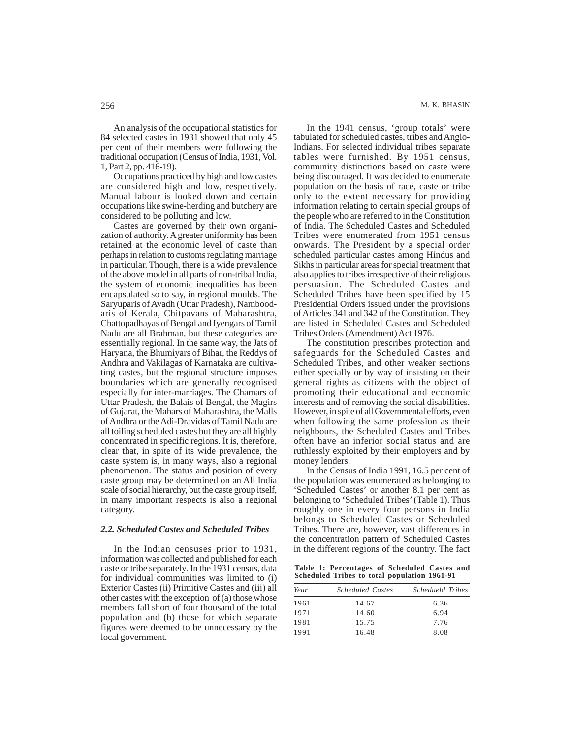An analysis of the occupational statistics for 84 selected castes in 1931 showed that only 45 per cent of their members were following the traditional occupation (Census of India, 1931, Vol. 1, Part 2, pp. 416-19).

Occupations practiced by high and low castes are considered high and low, respectively. Manual labour is looked down and certain occupations like swine-herding and butchery are considered to be polluting and low.

Castes are governed by their own organization of authority. A greater uniformity has been retained at the economic level of caste than perhaps in relation to customs regulating marriage in particular. Though, there is a wide prevalence of the above model in all parts of non-tribal India, the system of economic inequalities has been encapsulated so to say, in regional moulds. The Saryuparis of Avadh (Uttar Pradesh), Namboodaris of Kerala, Chitpavans of Maharashtra, Chattopadhayas of Bengal and Iyengars of Tamil Nadu are all Brahman, but these categories are essentially regional. In the same way, the Jats of Haryana, the Bhumiyars of Bihar, the Reddys of Andhra and Vakilagas of Karnataka are cultivating castes, but the regional structure imposes boundaries which are generally recognised especially for inter-marriages. The Chamars of Uttar Pradesh, the Balais of Bengal, the Magirs of Gujarat, the Mahars of Maharashtra, the Malls of Andhra or the Adi-Dravidas of Tamil Nadu are all toiling scheduled castes but they are all highly concentrated in specific regions. It is, therefore, clear that, in spite of its wide prevalence, the caste system is, in many ways, also a regional phenomenon. The status and position of every caste group may be determined on an All India scale of social hierarchy, but the caste group itself, in many important respects is also a regional category.

## *2.2. Scheduled Castes and Scheduled Tribes*

In the Indian censuses prior to 1931, information was collected and published for each caste or tribe separately. In the 1931 census, data for individual communities was limited to (i) Exterior Castes (ii) Primitive Castes and (iii) all other castes with the exception of (a) those whose members fall short of four thousand of the total population and (b) those for which separate figures were deemed to be unnecessary by the local government.

In the 1941 census, 'group totals' were tabulated for scheduled castes, tribes and Anglo-Indians. For selected individual tribes separate tables were furnished. By 1951 census, community distinctions based on caste were being discouraged. It was decided to enumerate population on the basis of race, caste or tribe only to the extent necessary for providing information relating to certain special groups of the people who are referred to in the Constitution of India. The Scheduled Castes and Scheduled Tribes were enumerated from 1951 census onwards. The President by a special order scheduled particular castes among Hindus and Sikhs in particular areas for special treatment that also applies to tribes irrespective of their religious persuasion. The Scheduled Castes and Scheduled Tribes have been specified by 15 Presidential Orders issued under the provisions of Articles 341 and 342 of the Constitution. They are listed in Scheduled Castes and Scheduled Tribes Orders (Amendment) Act 1976.

The constitution prescribes protection and safeguards for the Scheduled Castes and Scheduled Tribes, and other weaker sections either specially or by way of insisting on their general rights as citizens with the object of promoting their educational and economic interests and of removing the social disabilities. However, in spite of all Governmental efforts, even when following the same profession as their neighbours, the Scheduled Castes and Tribes often have an inferior social status and are ruthlessly exploited by their employers and by money lenders.

In the Census of India 1991, 16.5 per cent of the population was enumerated as belonging to 'Scheduled Castes' or another 8.1 per cent as belonging to 'Scheduled Tribes' (Table 1). Thus roughly one in every four persons in India belongs to Scheduled Castes or Scheduled Tribes. There are, however, vast differences in the concentration pattern of Scheduled Castes in the different regions of the country. The fact

**Table 1: Percentages of Scheduled Castes and Scheduled Tribes to total population 1961-91**

| Year | <b>Scheduled Castes</b> | <i>Schedueld Tribes</i> |
|------|-------------------------|-------------------------|
| 1961 | 14.67                   | 6.36                    |
| 1971 | 14.60                   | 6.94                    |
| 1981 | 15.75                   | 7.76                    |
| 1991 | 16.48                   | 8.08                    |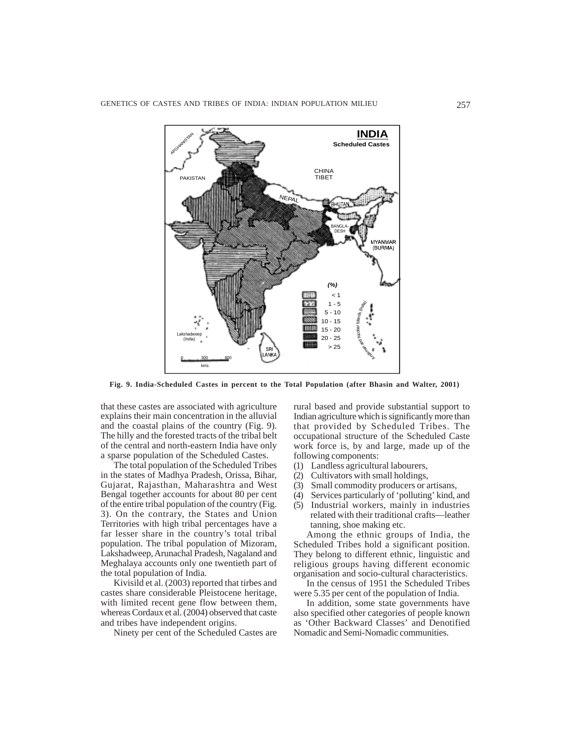

**Fig. 9. India-Scheduled Castes in percent to the Total Population (after Bhasin and Walter, 2001)**

that these castes are associated with agriculture explains their main concentration in the alluvial and the coastal plains of the country (Fig. 9). The hilly and the forested tracts of the tribal belt of the central and north-eastern India have only a sparse population of the Scheduled Castes.

The total population of the Scheduled Tribes in the states of Madhya Pradesh, Orissa, Bihar, Gujarat, Rajasthan, Maharashtra and West Bengal together accounts for about 80 per cent of the entire tribal population of the country (Fig. 3). On the contrary, the States and Union Territories with high tribal percentages have a far lesser share in the country's total tribal population. The tribal population of Mizoram, Lakshadweep, Arunachal Pradesh, Nagaland and Meghalaya accounts only one twentieth part of the total population of India.

Kivisild et al. (2003) reported that tirbes and castes share considerable Pleistocene heritage, with limited recent gene flow between them, whereas Cordaux et al. (2004) observed that caste and tribes have independent origins.

Ninety per cent of the Scheduled Castes are

rural based and provide substantial support to Indian agriculture which is significantly more than that provided by Scheduled Tribes. The occupational structure of the Scheduled Caste work force is, by and large, made up of the following components:

- (1) Landless agricultural labourers,
- (2) Cultivators with small holdings,
- (3) Small commodity producers or artisans,
- (4) Services particularly of 'polluting' kind, and
- (5) Industrial workers, mainly in industries related with their traditional crafts—leather tanning, shoe making etc.

Among the ethnic groups of India, the Scheduled Tribes hold a significant position. They belong to different ethnic, linguistic and religious groups having different economic organisation and socio-cultural characteristics.

In the census of 1951 the Scheduled Tribes were 5.35 per cent of the population of India.

In addition, some state governments have also specified other categories of people known as 'Other Backward Classes' and Denotified Nomadic and Semi-Nomadic communities.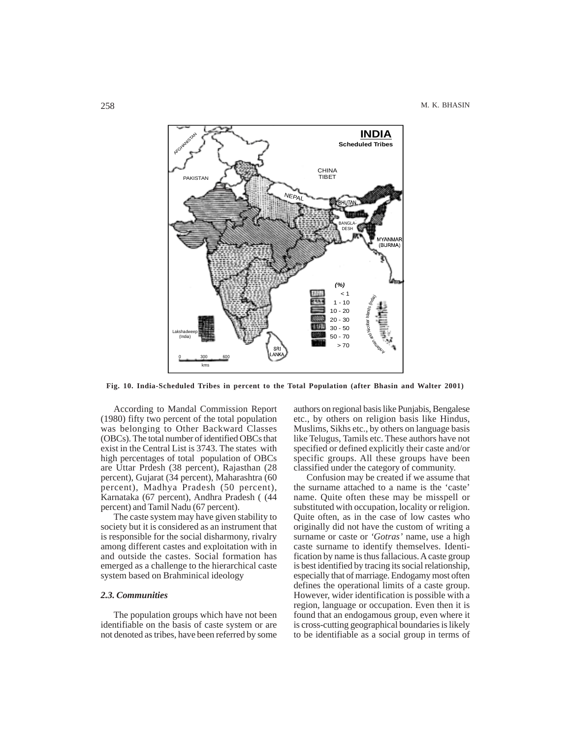

**Fig. 10. India-Scheduled Tribes in percent to the Total Population (after Bhasin and Walter 2001)**

According to Mandal Commission Report (1980) fifty two percent of the total population was belonging to Other Backward Classes (OBCs). The total number of identified OBCs that exist in the Central List is 3743. The states with high percentages of total population of OBCs are Uttar Prdesh (38 percent), Rajasthan (28 percent), Gujarat (34 percent), Maharashtra (60 percent), Madhya Pradesh (50 percent), Karnataka (67 percent), Andhra Pradesh ( (44 percent) and Tamil Nadu (67 percent).

The caste system may have given stability to society but it is considered as an instrument that is responsible for the social disharmony, rivalry among different castes and exploitation with in and outside the castes. Social formation has emerged as a challenge to the hierarchical caste system based on Brahminical ideology

# *2.3. Communities*

The population groups which have not been identifiable on the basis of caste system or are not denoted as tribes, have been referred by some authors on regional basis like Punjabis, Bengalese etc., by others on religion basis like Hindus, Muslims, Sikhs etc., by others on language basis like Telugus, Tamils etc. These authors have not specified or defined explicitly their caste and/or specific groups. All these groups have been classified under the category of community.

Confusion may be created if we assume that the surname attached to a name is the 'caste' name. Quite often these may be misspell or substituted with occupation, locality or religion. Quite often, as in the case of low castes who originally did not have the custom of writing a surname or caste or *'Gotras'* name, use a high caste surname to identify themselves. Identification by name is thus fallacious. A caste group is best identified by tracing its social relationship, especially that of marriage. Endogamy most often defines the operational limits of a caste group. However, wider identification is possible with a region, language or occupation. Even then it is found that an endogamous group, even where it is cross-cutting geographical boundaries is likely to be identifiable as a social group in terms of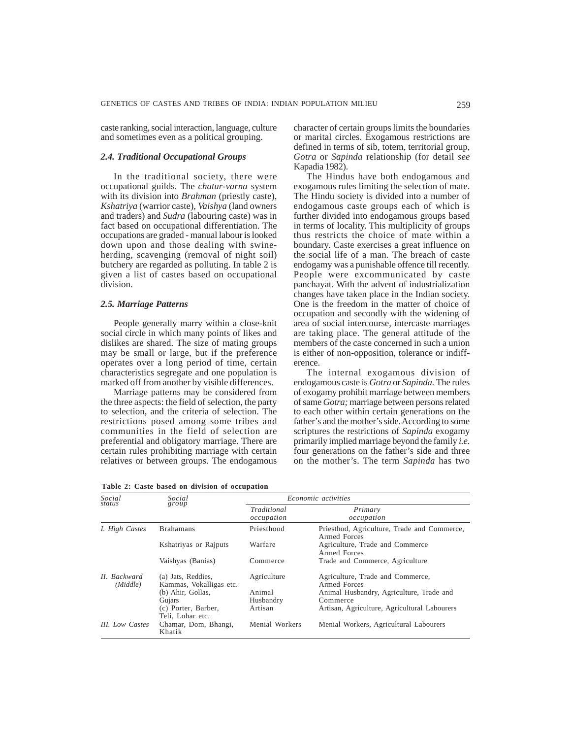caste ranking, social interaction, language, culture and sometimes even as a political grouping.

#### *2.4. Traditional Occupational Groups*

In the traditional society, there were occupational guilds. The *chatur-varna* system with its division into *Brahman* (priestly caste), *Kshatriya* (warrior caste), *Vaishya* (land owners and traders) and *Sudra* (labouring caste) was in fact based on occupational differentiation. The occupations are graded - manual labour is looked down upon and those dealing with swineherding, scavenging (removal of night soil) butchery are regarded as polluting. In table 2 is given a list of castes based on occupational division.

#### *2.5. Marriage Patterns*

People generally marry within a close-knit social circle in which many points of likes and dislikes are shared. The size of mating groups may be small or large, but if the preference operates over a long period of time, certain characteristics segregate and one population is marked off from another by visible differences.

Marriage patterns may be considered from the three aspects: the field of selection, the party to selection, and the criteria of selection. The restrictions posed among some tribes and communities in the field of selection are preferential and obligatory marriage. There are certain rules prohibiting marriage with certain relatives or between groups. The endogamous character of certain groups limits the boundaries or marital circles. Exogamous restrictions are defined in terms of sib, totem, territorial group, *Gotra* or *Sapinda* relationship (for detail *see* Kapadia 1982).

The Hindus have both endogamous and exogamous rules limiting the selection of mate. The Hindu society is divided into a number of endogamous caste groups each of which is further divided into endogamous groups based in terms of locality. This multiplicity of groups thus restricts the choice of mate within a boundary. Caste exercises a great influence on the social life of a man. The breach of caste endogamy was a punishable offence till recently. People were excommunicated by caste panchayat. With the advent of industrialization changes have taken place in the Indian society. One is the freedom in the matter of choice of occupation and secondly with the widening of area of social intercourse, intercaste marriages are taking place. The general attitude of the members of the caste concerned in such a union is either of non-opposition, tolerance or indifference.

The internal exogamous division of endogamous caste is *Gotra* or *Sapinda.* The rules of exogamy prohibit marriage between members of same *Gotra;* marriage between persons related to each other within certain generations on the father's and the mother's side. According to some scriptures the restrictions of *Sapinda* exogamy primarily implied marriage beyond the family *i.e.* four generations on the father's side and three on the mother's. The term *Sapinda* has two

| Social<br>status         | Social                                        | Economic activities       |                                                             |
|--------------------------|-----------------------------------------------|---------------------------|-------------------------------------------------------------|
|                          | group                                         | Traditional<br>occupation | Primary<br>occupation                                       |
| I. High Castes           | <b>Brahamans</b>                              | Priesthood                | Priesthod, Agriculture, Trade and Commerce,<br>Armed Forces |
|                          | Kshatriyas or Rajputs                         | Warfare                   | Agriculture, Trade and Commerce<br>Armed Forces             |
|                          | Vaishyas (Banias)                             | Commerce                  | Trade and Commerce, Agriculture                             |
| II. Backward<br>(Middle) | (a) Jats, Reddies,<br>Kammas, Vokalligas etc. | Agriculture               | Agriculture, Trade and Commerce,<br>Armed Forces            |
|                          | (b) Ahir, Gollas,                             | Animal                    | Animal Husbandry, Agriculture, Trade and                    |
|                          | Gujars                                        | Husbandry                 | Commerce                                                    |
|                          | (c) Porter, Barber,<br>Teli, Lohar etc.       | Artisan                   | Artisan, Agriculture, Agricultural Labourers                |
| III. Low Castes          | Chamar, Dom, Bhangi,<br>Khatik                | Menial Workers            | Menial Workers, Agricultural Labourers                      |

**Table 2: Caste based on division of occupation**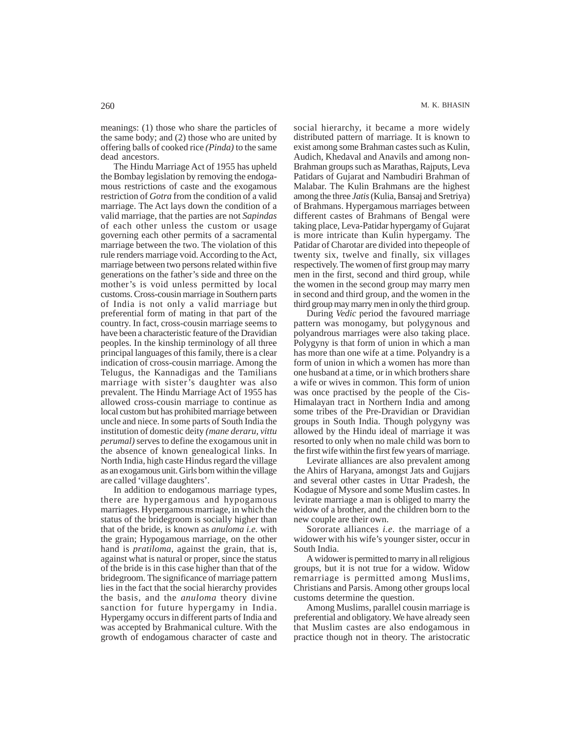meanings: (1) those who share the particles of the same body; and (2) those who are united by offering balls of cooked rice *(Pinda)* to the same dead ancestors.

The Hindu Marriage Act of 1955 has upheld the Bombay legislation by removing the endogamous restrictions of caste and the exogamous restriction of *Gotra* from the condition of a valid marriage. The Act lays down the condition of a valid marriage, that the parties are not *Sapindas* of each other unless the custom or usage governing each other permits of a sacramental marriage between the two. The violation of this rule renders marriage void. According to the Act, marriage between two persons related within five generations on the father's side and three on the mother's is void unless permitted by local customs. Cross-cousin marriage in Southern parts of India is not only a valid marriage but preferential form of mating in that part of the country. In fact, cross-cousin marriage seems to have been a characteristic feature of the Dravidian peoples. In the kinship terminology of all three principal languages of this family, there is a clear indication of cross-cousin marriage. Among the Telugus, the Kannadigas and the Tamilians marriage with sister's daughter was also prevalent. The Hindu Marriage Act of 1955 has allowed cross-cousin marriage to continue as local custom but has prohibited marriage between uncle and niece. In some parts of South India the institution of domestic deity *(mane deraru, vittu perumal)* serves to define the exogamous unit in the absence of known genealogical links. In North India, high caste Hindus regard the village as an exogamous unit. Girls born within the village are called 'village daughters'.

In addition to endogamous marriage types, there are hypergamous and hypogamous marriages. Hypergamous marriage, in which the status of the bridegroom is socially higher than that of the bride, is known as *anuloma i.e.* with the grain; Hypogamous marriage, on the other hand is *pratiloma,* against the grain, that is, against what is natural or proper, since the status of the bride is in this case higher than that of the bridegroom. The significance of marriage pattern lies in the fact that the social hierarchy provides the basis, and the *anuloma* theory divine sanction for future hypergamy in India. Hypergamy occurs in different parts of India and was accepted by Brahmanical culture. With the growth of endogamous character of caste and

social hierarchy, it became a more widely distributed pattern of marriage. It is known to exist among some Brahman castes such as Kulin, Audich, Khedaval and Anavils and among non-Brahman groups such as Marathas, Rajputs, Leva Patidars of Gujarat and Nambudiri Brahman of Malabar. The Kulin Brahmans are the highest among the three *Jatis* (Kulia, Bansaj and Sretriya) of Brahmans. Hypergamous marriages between different castes of Brahmans of Bengal were taking place, Leva-Patidar hypergamy of Gujarat is more intricate than Kulin hypergamy. The Patidar of Charotar are divided into thepeople of twenty six, twelve and finally, six villages respectively. The women of first group may marry men in the first, second and third group, while the women in the second group may marry men in second and third group, and the women in the third group may marry men in only the third group.

During *Vedic* period the favoured marriage pattern was monogamy, but polygynous and polyandrous marriages were also taking place. Polygyny is that form of union in which a man has more than one wife at a time. Polyandry is a form of union in which a women has more than one husband at a time, or in which brothers share a wife or wives in common. This form of union was once practised by the people of the Cis-Himalayan tract in Northern India and among some tribes of the Pre-Dravidian or Dravidian groups in South India. Though polygyny was allowed by the Hindu ideal of marriage it was resorted to only when no male child was born to the first wife within the first few years of marriage.

Levirate alliances are also prevalent among the Ahirs of Haryana, amongst Jats and Gujjars and several other castes in Uttar Pradesh, the Kodague of Mysore and some Muslim castes. In levirate marriage a man is obliged to marry the widow of a brother, and the children born to the new couple are their own.

Sororate alliances *i.e.* the marriage of a widower with his wife's younger sister, occur in South India.

A widower is permitted to marry in all religious groups, but it is not true for a widow. Widow remarriage is permitted among Muslims, Christians and Parsis. Among other groups local customs determine the question.

Among Muslims, parallel cousin marriage is preferential and obligatory. We have already seen that Muslim castes are also endogamous in practice though not in theory. The aristocratic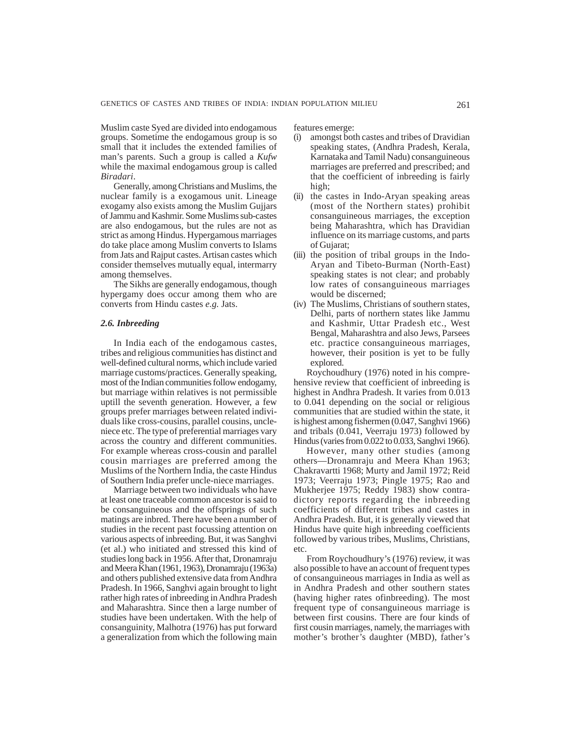Muslim caste Syed are divided into endogamous groups. Sometime the endogamous group is so small that it includes the extended families of man's parents. Such a group is called a *Kufw* while the maximal endogamous group is called *Biradari*.

Generally, among Christians and Muslims, the nuclear family is a exogamous unit. Lineage exogamy also exists among the Muslim Gujjars of Jammu and Kashmir. Some Muslims sub-castes are also endogamous, but the rules are not as strict as among Hindus. Hypergamous marriages do take place among Muslim converts to Islams from Jats and Rajput castes. Artisan castes which consider themselves mutually equal, intermarry among themselves.

The Sikhs are generally endogamous, though hypergamy does occur among them who are converts from Hindu castes *e.g.* Jats.

#### *2.6. Inbreeding*

In India each of the endogamous castes, tribes and religious communities has distinct and well-defined cultural norms, which include varied marriage customs/practices. Generally speaking, most of the Indian communities follow endogamy, but marriage within relatives is not permissible uptill the seventh generation. However, a few groups prefer marriages between related individuals like cross-cousins, parallel cousins, uncleniece etc. The type of preferential marriages vary across the country and different communities. For example whereas cross-cousin and parallel cousin marriages are preferred among the Muslims of the Northern India, the caste Hindus of Southern India prefer uncle-niece marriages.

Marriage between two individuals who have at least one traceable common ancestor is said to be consanguineous and the offsprings of such matings are inbred. There have been a number of studies in the recent past focussing attention on various aspects of inbreeding. But, it was Sanghvi (et al.) who initiated and stressed this kind of studies long back in 1956. After that, Dronamraju and Meera Khan (1961, 1963), Dronamraju (1963a) and others published extensive data from Andhra Pradesh. In 1966, Sanghvi again brought to light rather high rates of inbreeding in Andhra Pradesh and Maharashtra. Since then a large number of studies have been undertaken. With the help of consanguinity, Malhotra (1976) has put forward a generalization from which the following main

features emerge:

- (i) amongst both castes and tribes of Dravidian speaking states, (Andhra Pradesh, Kerala, Karnataka and Tamil Nadu) consanguineous marriages are preferred and prescribed; and that the coefficient of inbreeding is fairly high;
- (ii) the castes in Indo-Aryan speaking areas (most of the Northern states) prohibit consanguineous marriages, the exception being Maharashtra, which has Dravidian influence on its marriage customs, and parts of Gujarat;
- (iii) the position of tribal groups in the Indo-Aryan and Tibeto-Burman (North-East) speaking states is not clear; and probably low rates of consanguineous marriages would be discerned;
- (iv) The Muslims, Christians of southern states, Delhi, parts of northern states like Jammu and Kashmir, Uttar Pradesh etc., West Bengal, Maharashtra and also Jews, Parsees etc. practice consanguineous marriages, however, their position is yet to be fully explored.

Roychoudhury (1976) noted in his comprehensive review that coefficient of inbreeding is highest in Andhra Pradesh. It varies from 0.013 to 0.041 depending on the social or religious communities that are studied within the state, it is highest among fishermen (0.047, Sanghvi 1966) and tribals (0.041, Veerraju 1973) followed by Hindus (varies from 0.022 to 0.033, Sanghvi 1966).

However, many other studies (among others—Dronamraju and Meera Khan 1963; Chakravartti 1968; Murty and Jamil 1972; Reid 1973; Veerraju 1973; Pingle 1975; Rao and Mukherjee 1975; Reddy 1983) show contradictory reports regarding the inbreeding coefficients of different tribes and castes in Andhra Pradesh. But, it is generally viewed that Hindus have quite high inbreeding coefficients followed by various tribes, Muslims, Christians, etc.

From Roychoudhury's (1976) review, it was also possible to have an account of frequent types of consanguineous marriages in India as well as in Andhra Pradesh and other southern states (having higher rates ofinbreeding). The most frequent type of consanguineous marriage is between first cousins. There are four kinds of first cousin marriages, namely, the marriages with mother's brother's daughter (MBD), father's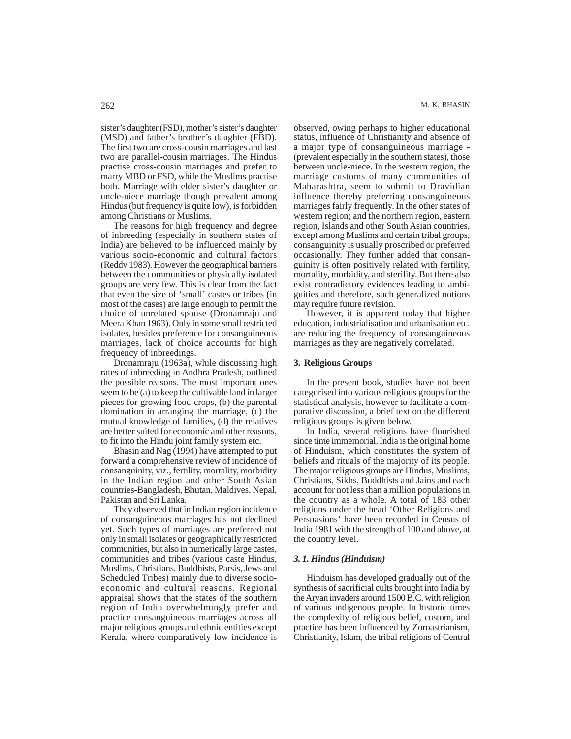sister's daughter (FSD), mother's sister's daughter (MSD) and father's brother's daughter (FBD). The first two are cross-cousin marriages and last two are parallel-cousin marriages. The Hindus practise cross-cousin marriages and prefer to marry MBD or FSD, while the Muslims practise both. Marriage with elder sister's daughter or uncle-niece marriage though prevalent among Hindus (but frequency is quite low), is forbidden among Christians or Muslims.

The reasons for high frequency and degree of inbreeding (especially in southern states of India) are believed to be influenced mainly by various socio-economic and cultural factors (Reddy 1983). However the geographical barriers between the communities or physically isolated groups are very few. This is clear from the fact that even the size of 'small' castes or tribes (in most of the cases) are large enough to permit the choice of unrelated spouse (Dronamraju and Meera Khan 1963). Only in some small restricted isolates, besides preference for consanguineous marriages, lack of choice accounts for high frequency of inbreedings.

Dronamraju (1963a), while discussing high rates of inbreeding in Andhra Pradesh, outlined the possible reasons. The most important ones seem to be (a) to keep the cultivable land in larger pieces for growing food crops, (b) the parental domination in arranging the marriage, (c) the mutual knowledge of families, (d) the relatives are better suited for economic and other reasons, to fit into the Hindu joint family system etc.

Bhasin and Nag (1994) have attempted to put forward a comprehensive review of incidence of consanguinity, viz., fertility, mortality, morbidity in the Indian region and other South Asian countries-Bangladesh, Bhutan, Maldives, Nepal, Pakistan and Sri Lanka.

They observed that in Indian region incidence of consanguineous marriages has not declined yet. Such types of marriages are preferred not only in small isolates or geographically restricted communities, but also in numerically large castes, communities and tribes (various caste Hindus, Muslims, Christians, Buddhists, Parsis, Jews and Scheduled Tribes) mainly due to diverse socioeconomic and cultural reasons. Regional appraisal shows that the states of the southern region of India overwhelmingly prefer and practice consanguineous marriages across all major religious groups and ethnic entities except Kerala, where comparatively low incidence is observed, owing perhaps to higher educational status, influence of Christianity and absence of a major type of consanguineous marriage - (prevalent especially in the southern states), those between uncle-niece. In the western region, the marriage customs of many communities of Maharashtra, seem to submit to Dravidian influence thereby preferring consanguineous marriages fairly frequently. In the other states of western region; and the northern region, eastern region, Islands and other South Asian countries, except among Muslims and certain tribal groups, consanguinity is usually proscribed or preferred occasionally. They further added that consanguinity is often positively related with fertility, mortality, morbidity, and sterility. But there also exist contradictory evidences leading to ambiguities and therefore, such generalized notions may require future revision.

However, it is apparent today that higher education, industrialisation and urbanisation etc. are reducing the frequency of consanguineous marriages as they are negatively correlated.

# **3. Religious Groups**

In the present book, studies have not been categorised into various religious groups for the statistical analysis, however to facilitate a comparative discussion, a brief text on the different religious groups is given below.

In India, several religions have flourished since time immemorial. India is the original home of Hinduism, which constitutes the system of beliefs and rituals of the majority of its people. The major religious groups are Hindus, Muslims, Christians, Sikhs, Buddhists and Jains and each account for not less than a million populations in the country as a whole. A total of 183 other religions under the head 'Other Religions and Persuasions' have been recorded in Census of India 1981 with the strength of 100 and above, at the country level.

#### *3. 1. Hindus (Hinduism)*

Hinduism has developed gradually out of the synthesis of sacrificial cults brought into India by the Aryan invaders around 1500 B.C. with religion of various indigenous people. In historic times the complexity of religious belief, custom, and practice has been influenced by Zoroastrianism, Christianity, Islam, the tribal religions of Central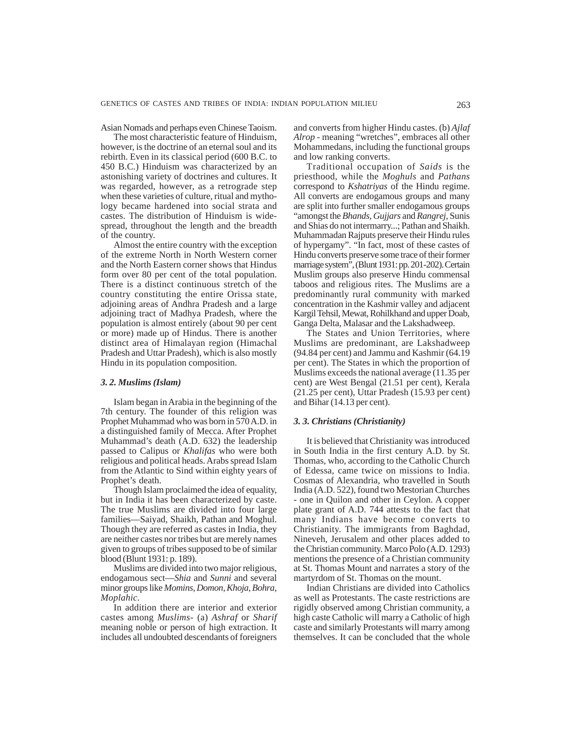Asian Nomads and perhaps even Chinese Taoism.

The most characteristic feature of Hinduism, however, is the doctrine of an eternal soul and its rebirth. Even in its classical period (600 B.C. to 450 B.C.) Hinduism was characterized by an astonishing variety of doctrines and cultures. It was regarded, however, as a retrograde step when these varieties of culture, ritual and mythology became hardened into social strata and castes. The distribution of Hinduism is widespread, throughout the length and the breadth of the country.

Almost the entire country with the exception of the extreme North in North Western corner and the North Eastern corner shows that Hindus form over 80 per cent of the total population. There is a distinct continuous stretch of the country constituting the entire Orissa state, adjoining areas of Andhra Pradesh and a large adjoining tract of Madhya Pradesh, where the population is almost entirely (about 90 per cent or more) made up of Hindus. There is another distinct area of Himalayan region (Himachal Pradesh and Uttar Pradesh), which is also mostly Hindu in its population composition.

#### *3. 2. Muslims (Islam)*

Islam began in Arabia in the beginning of the 7th century. The founder of this religion was Prophet Muhammad who was born in 570 A.D. in a distinguished family of Mecca. After Prophet Muhammad's death (A.D. 632) the leadership passed to Calipus or *Khalifas* who were both religious and political heads. Arabs spread Islam from the Atlantic to Sind within eighty years of Prophet's death.

Though Islam proclaimed the idea of equality, but in India it has been characterized by caste. The true Muslims are divided into four large families—Saiyad, Shaikh, Pathan and Moghul. Though they are referred as castes in India, they are neither castes nor tribes but are merely names given to groups of tribes supposed to be of similar blood (Blunt 1931: p. 189).

Muslims are divided into two major religious, endogamous sect—*Shia* and *Sunni* and several minor groups like *Momins,Domon, Khoja, Bohra, Moplahic.*

In addition there are interior and exterior castes among *Muslims*- (a) *Ashraf* or *Sharif* meaning noble or person of high extraction. It includes all undoubted descendants of foreigners

and converts from higher Hindu castes. (b) *Ajlaf Alrop* - meaning "wretches", embraces all other Mohammedans, including the functional groups and low ranking converts.

Traditional occupation of *Saids* is the priesthood, while the *Moghuls* and *Pathans* correspond to *Kshatriyas* of the Hindu regime. All converts are endogamous groups and many are split into further smaller endogamous groups "amongst the *Bhands, Gujjars* and *Rangrej,* Sunis and Shias do not intermarry...; Pathan and Shaikh. Muhammadan Rajputs preserve their Hindu rules of hypergamy". "In fact, most of these castes of Hindu converts preserve some trace of their former marriage system", (Blunt 1931: pp. 201-202). Certain Muslim groups also preserve Hindu commensal taboos and religious rites. The Muslims are a predominantly rural community with marked concentration in the Kashmir valley and adjacent Kargil Tehsil, Mewat, Rohilkhand and upper Doab, Ganga Delta, Malasar and the Lakshadweep.

The States and Union Territories, where Muslims are predominant, are Lakshadweep (94.84 per cent) and Jammu and Kashmir (64.19 per cent). The States in which the proportion of Muslims exceeds the national average (11.35 per cent) are West Bengal (21.51 per cent), Kerala (21.25 per cent), Uttar Pradesh (15.93 per cent) and Bihar (14.13 per cent).

# *3. 3. Christians (Christianity)*

It is believed that Christianity was introduced in South India in the first century A.D. by St. Thomas, who, according to the Catholic Church of Edessa, came twice on missions to India. Cosmas of Alexandria, who travelled in South India (A.D. 522), found two Mestorian Churches - one in Quilon and other in Ceylon. A copper plate grant of A.D. 744 attests to the fact that many Indians have become converts to Christianity. The immigrants from Baghdad, Nineveh, Jerusalem and other places added to the Christian community. Marco Polo (A.D. 1293) mentions the presence of a Christian community at St. Thomas Mount and narrates a story of the martyrdom of St. Thomas on the mount.

Indian Christians are divided into Catholics as well as Protestants. The caste restrictions are rigidly observed among Christian community, a high caste Catholic will marry a Catholic of high caste and similarly Protestants will marry among themselves. It can be concluded that the whole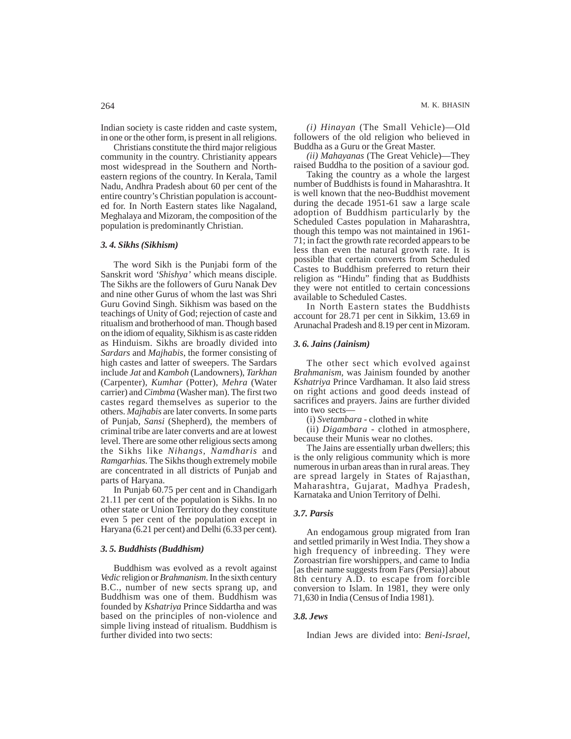Indian society is caste ridden and caste system, in one or the other form, is present in all religions.

Christians constitute the third major religious community in the country. Christianity appears most widespread in the Southern and Northeastern regions of the country. In Kerala, Tamil Nadu, Andhra Pradesh about 60 per cent of the entire country's Christian population is accounted for. In North Eastern states like Nagaland, Meghalaya and Mizoram, the composition of the population is predominantly Christian.

#### *3. 4. Sikhs (Sikhism)*

The word Sikh is the Punjabi form of the Sanskrit word *'Shishya'* which means disciple. The Sikhs are the followers of Guru Nanak Dev and nine other Gurus of whom the last was Shri Guru Govind Singh. Sikhism was based on the teachings of Unity of God; rejection of caste and ritualism and brotherhood of man. Though based on the idiom of equality, Sikhism is as caste ridden as Hinduism. Sikhs are broadly divided into *Sardars* and *Majhabis*, the former consisting of high castes and latter of sweepers. The Sardars include *Jat* and *Kamboh* (Landowners), *Tarkhan* (Carpenter), *Kumhar* (Potter), *Mehra* (Water carrier) and *Cimbma* (Washer man). The first two castes regard themselves as superior to the others. *Majhabis* are later converts. In some parts of Punjab, *Sansi* (Shepherd), the members of criminal tribe are later converts and are at lowest level. There are some other religious sects among the Sikhs like *Nihangs, Namdharis* and *Ramgarhias*. The Sikhs though extremely mobile are concentrated in all districts of Punjab and parts of Haryana.

In Punjab 60.75 per cent and in Chandigarh 21.11 per cent of the population is Sikhs. In no other state or Union Territory do they constitute even 5 per cent of the population except in Haryana (6.21 per cent) and Delhi (6.33 per cent).

#### *3. 5. Buddhists (Buddhism)*

Buddhism was evolved as a revolt against *Vedic* religion or *Brahmanism*. In the sixth century B.C., number of new sects sprang up, and Buddhism was one of them. Buddhism was founded by *Kshatriya* Prince Siddartha and was based on the principles of non-violence and simple living instead of ritualism. Buddhism is further divided into two sects:

*(i) Hinayan* (The Small Vehicle)—Old followers of the old religion who believed in Buddha as a Guru or the Great Master.

*(ii) Mahayanas* (The Great Vehicle)—They raised Buddha to the position of a saviour god.

Taking the country as a whole the largest number of Buddhists is found in Maharashtra. It is well known that the neo-Buddhist movement during the decade 1951-61 saw a large scale adoption of Buddhism particularly by the Scheduled Castes population in Maharashtra, though this tempo was not maintained in 1961- 71; in fact the growth rate recorded appears to be less than even the natural growth rate. It is possible that certain converts from Scheduled Castes to Buddhism preferred to return their religion as "Hindu" finding that as Buddhists they were not entitled to certain concessions available to Scheduled Castes.

In North Eastern states the Buddhists account for 28.71 per cent in Sikkim, 13.69 in Arunachal Pradesh and 8.19 per cent in Mizoram.

#### *3. 6. Jains (Jainism)*

The other sect which evolved against *Brahmanism,* was Jainism founded by another *Kshatriya* Prince Vardhaman. It also laid stress on right actions and good deeds instead of sacrifices and prayers. Jains are further divided into two sects—

(i) *Svetambara* - clothed in white

(ii) *Digambara* - clothed in atmosphere, because their Munis wear no clothes.

The Jains are essentially urban dwellers; this is the only religious community which is more numerous in urban areas than in rural areas. They are spread largely in States of Rajasthan, Maharashtra, Gujarat, Madhya Pradesh, Karnataka and Union Territory of Delhi.

# *3.7. Parsis*

An endogamous group migrated from Iran and settled primarily in West India. They show a high frequency of inbreeding. They were Zoroastrian fire worshippers, and came to India [as their name suggests from Fars (Persia)] about 8th century A.D. to escape from forcible conversion to Islam. In 1981, they were only 71,630 in India (Census of India 1981).

# *3.8. Jews*

Indian Jews are divided into: *Beni-Israel,*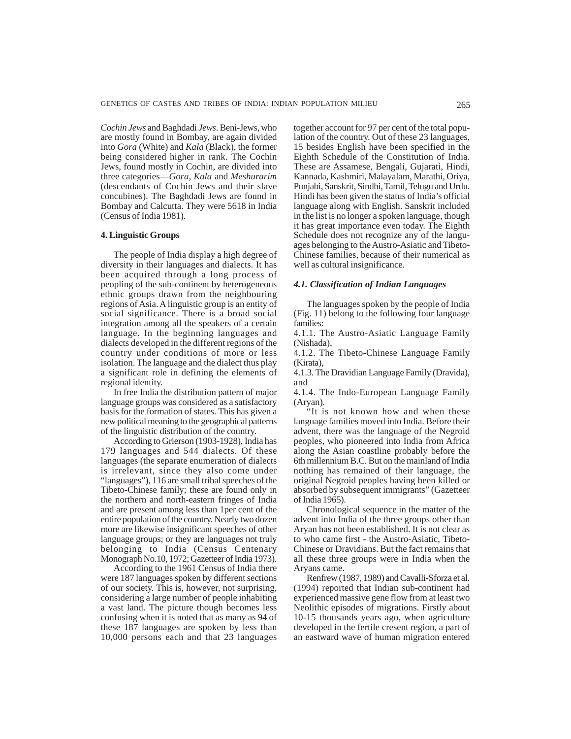*Cochin Jews* and Baghdadi *Jews*. Beni-Jews, who are mostly found in Bombay, are again divided into *Gora* (White) and *Kala* (Black), the former being considered higher in rank. The Cochin Jews, found mostly in Cochin, are divided into three categories—*Gora, Kala* and *Meshurarim* (descendants of Cochin Jews and their slave concubines). The Baghdadi Jews are found in Bombay and Calcutta. They were 5618 in India (Census of India 1981).

#### **4. Linguistic Groups**

The people of India display a high degree of diversity in their languages and dialects. It has been acquired through a long process of peopling of the sub-continent by heterogeneous ethnic groups drawn from the neighbouring regions of Asia. A linguistic group is an entity of social significance. There is a broad social integration among all the speakers of a certain language. In the beginning languages and dialects developed in the different regions of the country under conditions of more or less isolation. The language and the dialect thus play a significant role in defining the elements of regional identity.

In free India the distribution pattern of major language groups was considered as a satisfactory basis for the formation of states. This has given a new political meaning to the geographical patterns of the linguistic distribution of the country.

According to Grierson (1903-1928), India has 179 languages and 544 dialects. Of these languages (the separate enumeration of dialects is irrelevant, since they also come under "languages"), 116 are small tribal speeches of the Tibeto-Chinese family; these are found only in the northern and north-eastern fringes of India and are present among less than 1per cent of the entire population of the country. Nearly two dozen more are likewise insignificant speeches of other language groups; or they are languages not truly belonging to India (Census Centenary Monograph No.10, 1972; Gazetteer of India 1973).

According to the 1961 Census of India there were 187 languages spoken by different sections of our society. This is, however, not surprising, considering a large number of people inhabiting a vast land. The picture though becomes less confusing when it is noted that as many as 94 of these 187 languages are spoken by less than 10,000 persons each and that 23 languages together account for 97 per cent of the total population of the country. Out of these 23 languages, 15 besides English have been specified in the Eighth Schedule of the Constitution of India. These are Assamese, Bengali, Gujarati, Hindi, Kannada, Kashmiri, Malayalam, Marathi, Oriya, Punjabi, Sanskrit, Sindhi, Tamil, Telugu and Urdu. Hindi has been given the status of India's official language along with English. Sanskrit included in the list is no longer a spoken language, though it has great importance even today. The Eighth Schedule does not recognize any of the languages belonging to the Austro-Asiatic and Tibeto-Chinese families, because of their numerical as well as cultural insignificance.

#### *4.1. Classification of Indian Languages*

The languages spoken by the people of India (Fig. 11) belong to the following four language families:

4.1.1. The Austro-Asiatic Language Family (Nishada),

4.1.2. The Tibeto-Chinese Language Family (Kirata),

4.1.3. The Dravidian Language Family (Dravida), and

4.1.4. The Indo-European Language Family (Aryan).

"It is not known how and when these language families moved into India. Before their advent, there was the language of the Negroid peoples, who pioneered into India from Africa along the Asian coastline probably before the 6th millennium B.C. But on the mainland of India nothing has remained of their language, the original Negroid peoples having been killed or absorbed by subsequent immigrants" (Gazetteer of India 1965).

Chronological sequence in the matter of the advent into India of the three groups other than Aryan has not been established. It is not clear as to who came first - the Austro-Asiatic, Tibeto-Chinese or Dravidians. But the fact remains that all these three groups were in India when the Aryans came.

Renfrew (1987, 1989) and Cavalli-Sforza et al. (1994) reported that Indian sub-continent had experienced massive gene flow from at least two Neolithic episodes of migrations. Firstly about 10-15 thousands years ago, when agriculture developed in the fertile cresent region, a part of an eastward wave of human migration entered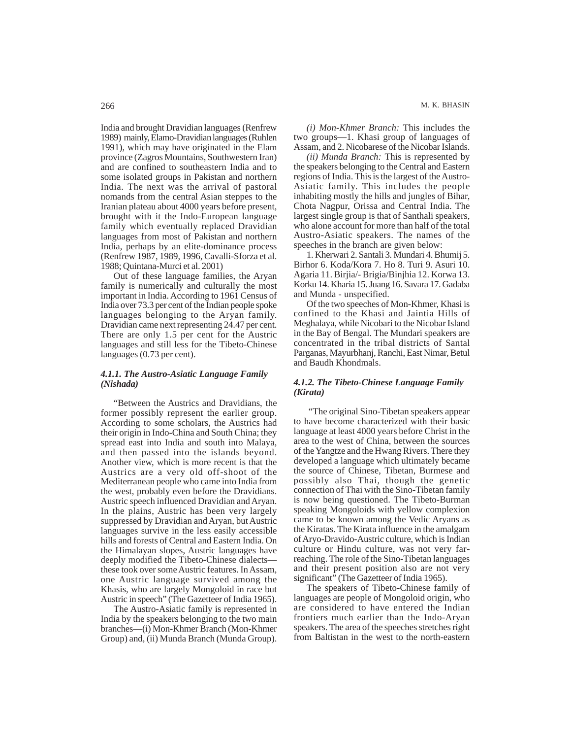India and brought Dravidian languages (Renfrew 1989) mainly, Elamo-Dravidian languages (Ruhlen 1991), which may have originated in the Elam province (Zagros Mountains, Southwestern Iran) and are confined to southeastern India and to some isolated groups in Pakistan and northern India. The next was the arrival of pastoral nomands from the central Asian steppes to the Iranian plateau about 4000 years before present, brought with it the Indo-European language family which eventually replaced Dravidian languages from most of Pakistan and northern India, perhaps by an elite-dominance process (Renfrew 1987, 1989, 1996, Cavalli-Sforza et al.

1988; Quintana-Murci et al. 2001) Out of these language families, the Aryan family is numerically and culturally the most important in India. According to 1961 Census of India over 73.3 per cent of the Indian people spoke languages belonging to the Aryan family. Dravidian came next representing 24.47 per cent. There are only 1.5 per cent for the Austric languages and still less for the Tibeto-Chinese languages (0.73 per cent).

# *4.1.1. The Austro-Asiatic Language Family (Nishada)*

"Between the Austrics and Dravidians, the former possibly represent the earlier group. According to some scholars, the Austrics had their origin in Indo-China and South China; they spread east into India and south into Malaya, and then passed into the islands beyond. Another view, which is more recent is that the Austrics are a very old off-shoot of the Mediterranean people who came into India from the west, probably even before the Dravidians. Austric speech influenced Dravidian and Aryan. In the plains, Austric has been very largely suppressed by Dravidian and Aryan, but Austric languages survive in the less easily accessible hills and forests of Central and Eastern India. On the Himalayan slopes, Austric languages have deeply modified the Tibeto-Chinese dialects these took over some Austric features. In Assam, one Austric language survived among the Khasis, who are largely Mongoloid in race but Austric in speech" (The Gazetteer of India 1965).

The Austro-Asiatic family is represented in India by the speakers belonging to the two main branches—(i) Mon-Khmer Branch (Mon-Khmer Group) and, (ii) Munda Branch (Munda Group).

*(i) Mon-Khmer Branch:* This includes the two groups—1. Khasi group of languages of Assam, and 2. Nicobarese of the Nicobar Islands.

*(ii) Munda Branch:* This is represented by the speakers belonging to the Central and Eastern regions of India. This is the largest of the Austro-Asiatic family. This includes the people inhabiting mostly the hills and jungles of Bihar, Chota Nagpur, Orissa and Central India. The largest single group is that of Santhali speakers, who alone account for more than half of the total Austro-Asiatic speakers. The names of the speeches in the branch are given below:

1. Kherwari 2. Santali 3. Mundari 4. Bhumij 5. Birhor 6. Koda/Kora 7. Ho 8. Turi 9. Asuri 10. Agaria 11. Birjia/- Brigia/Binjhia 12. Korwa 13. Korku 14. Kharia 15. Juang 16. Savara 17. Gadaba and Munda - unspecified.

Of the two speeches of Mon-Khmer, Khasi is confined to the Khasi and Jaintia Hills of Meghalaya, while Nicobari to the Nicobar Island in the Bay of Bengal. The Mundari speakers are concentrated in the tribal districts of Santal Parganas, Mayurbhanj, Ranchi, East Nimar, Betul and Baudh Khondmals.

# *4.1.2. The Tibeto-Chinese Language Family (Kirata)*

 "The original Sino-Tibetan speakers appear to have become characterized with their basic language at least 4000 years before Christ in the area to the west of China, between the sources of the Yangtze and the Hwang Rivers. There they developed a language which ultimately became the source of Chinese, Tibetan, Burmese and possibly also Thai, though the genetic connection of Thai with the Sino-Tibetan family is now being questioned. The Tibeto-Burman speaking Mongoloids with yellow complexion came to be known among the Vedic Aryans as the Kiratas. The Kirata influence in the amalgam of Aryo-Dravido-Austric culture, which is Indian culture or Hindu culture, was not very farreaching. The role of the Sino-Tibetan languages and their present position also are not very significant" (The Gazetteer of India 1965).

The speakers of Tibeto-Chinese family of languages are people of Mongoloid origin, who are considered to have entered the Indian frontiers much earlier than the Indo-Aryan speakers. The area of the speeches stretches right from Baltistan in the west to the north-eastern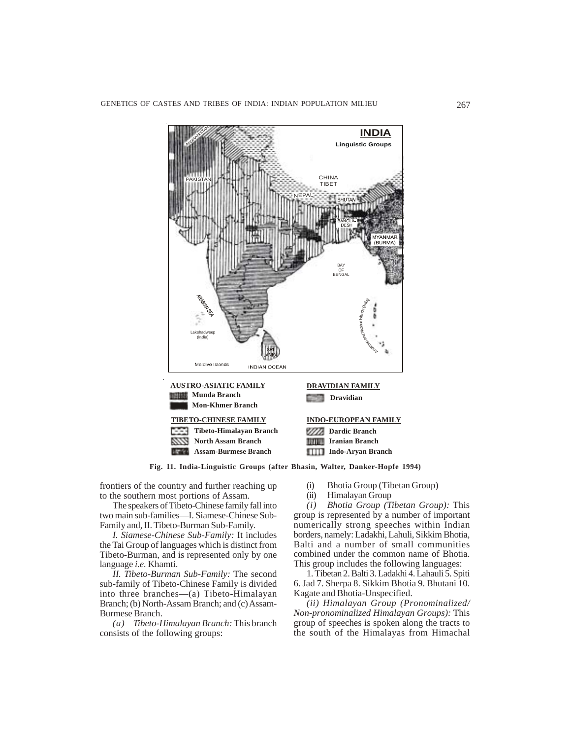

**Fig. 11. India-Linguistic Groups (after Bhasin, Walter, Danker-Hopfe 1994)**

frontiers of the country and further reaching up to the southern most portions of Assam.

The speakers of Tibeto-Chinese family fall into two main sub-families—I. Siamese-Chinese Sub-Family and, II. Tibeto-Burman Sub-Family.

*I. Siamese-Chinese Sub-Family:* It includes the Tai Group of languages which is distinct from Tibeto-Burman, and is represented only by one language *i.e.* Khamti.

*II. Tibeto-Burman Sub-Family:* The second sub-family of Tibeto-Chinese Family is divided into three branches—(a) Tibeto-Himalayan Branch; (b) North-Assam Branch; and (c) Assam-Burmese Branch.

*(a) Tibeto-Himalayan Branch:* This branch consists of the following groups:

(i) Bhotia Group (Tibetan Group)

(ii) Himalayan Group

*(i) Bhotia Group (Tibetan Group):* This group is represented by a number of important numerically strong speeches within Indian borders, namely: Ladakhi, Lahuli, Sikkim Bhotia, Balti and a number of small communities combined under the common name of Bhotia. This group includes the following languages:

1. Tibetan 2. Balti 3. Ladakhi 4. Lahauli 5. Spiti 6. Jad 7. Sherpa 8. Sikkim Bhotia 9. Bhutani 10. Kagate and Bhotia-Unspecified.

*(ii) Himalayan Group (Pronominalized/ Non-pronominalized Himalayan Groups):* This group of speeches is spoken along the tracts to the south of the Himalayas from Himachal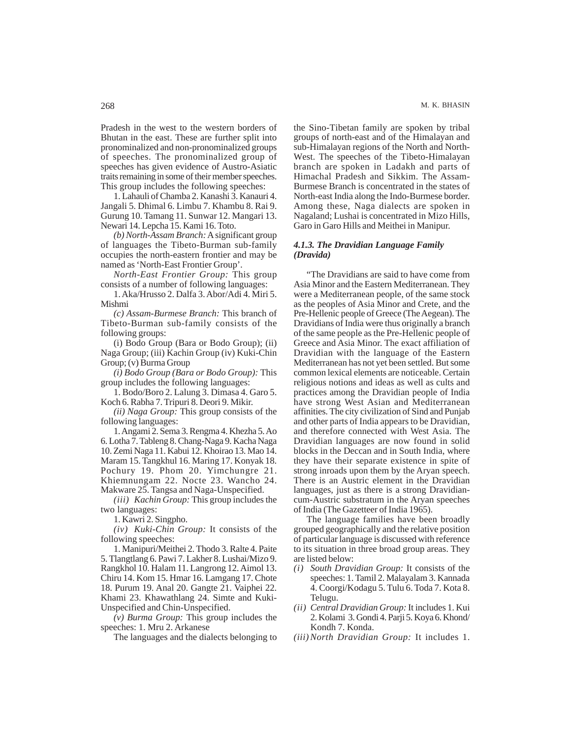$268$  M. K. BHASIN

Pradesh in the west to the western borders of Bhutan in the east. These are further split into pronominalized and non-pronominalized groups of speeches. The pronominalized group of speeches has given evidence of Austro-Asiatic traits remaining in some of their member speeches. This group includes the following speeches:

1. Lahauli of Chamba 2. Kanashi 3. Kanauri 4. Jangali 5. Dhimal 6. Limbu 7. Khambu 8. Rai 9. Gurung 10. Tamang 11. Sunwar 12. Mangari 13. Newari 14. Lepcha 15. Kami 16. Toto.

*(b) North-Assam Branch:* A significant group of languages the Tibeto-Burman sub-family occupies the north-eastern frontier and may be named as 'North-East Frontier Group'.

*North-East Frontier Group:* This group consists of a number of following languages:

1. Aka/Hrusso 2. Dalfa 3. Abor/Adi 4. Miri 5. Mishmi

*(c) Assam-Burmese Branch:* This branch of Tibeto-Burman sub-family consists of the following groups:

(i) Bodo Group (Bara or Bodo Group); (ii) Naga Group; (iii) Kachin Group (iv) Kuki-Chin Group; (v) Burma Group

*(i) Bodo Group (Bara or Bodo Group):* This group includes the following languages:

1. Bodo/Boro 2. Lalung 3. Dimasa 4. Garo 5. Koch 6. Rabha 7. Tripuri 8. Deori 9. Mikir.

*(ii) Naga Group:* This group consists of the following languages:

1. Angami 2. Sema 3. Rengma 4. Khezha 5. Ao 6. Lotha 7. Tableng 8. Chang-Naga 9. Kacha Naga 10. Zemi Naga 11. Kabui 12. Khoirao 13. Mao 14. Maram 15. Tangkhul 16. Maring 17. Konyak 18. Pochury 19. Phom 20. Yimchungre 21. Khiemnungam 22. Nocte 23. Wancho 24. Makware 25. Tangsa and Naga-Unspecified.

*(iii) Kachin Group:* This group includes the two languages:

1. Kawri 2. Singpho.

*(iv) Kuki-Chin Group:* It consists of the following speeches:

1. Manipuri/Meithei 2. Thodo 3. Ralte 4. Paite 5. Tlangtlang 6. Pawi 7. Lakher 8. Lushai/Mizo 9. Rangkhol 10. Halam 11. Langrong 12. Aimol 13. Chiru 14. Kom 15. Hmar 16. Lamgang 17. Chote 18. Purum 19. Anal 20. Gangte 21. Vaiphei 22. Khami 23. Khawathlang 24. Simte and Kuki-Unspecified and Chin-Unspecified.

*(v) Burma Group:* This group includes the speeches: 1. Mru 2. Arkanese

The languages and the dialects belonging to

the Sino-Tibetan family are spoken by tribal groups of north-east and of the Himalayan and sub-Himalayan regions of the North and North-West. The speeches of the Tibeto-Himalayan branch are spoken in Ladakh and parts of Himachal Pradesh and Sikkim. The Assam-Burmese Branch is concentrated in the states of North-east India along the Indo-Burmese border. Among these, Naga dialects are spoken in Nagaland; Lushai is concentrated in Mizo Hills, Garo in Garo Hills and Meithei in Manipur.

# *4.1.3. The Dravidian Language Family (Dravida)*

"The Dravidians are said to have come from Asia Minor and the Eastern Mediterranean. They were a Mediterranean people, of the same stock as the peoples of Asia Minor and Crete, and the Pre-Hellenic people of Greece (The Aegean). The Dravidians of India were thus originally a branch of the same people as the Pre-Hellenic people of Greece and Asia Minor. The exact affiliation of Dravidian with the language of the Eastern Mediterranean has not yet been settled. But some common lexical elements are noticeable. Certain religious notions and ideas as well as cults and practices among the Dravidian people of India have strong West Asian and Mediterranean affinities. The city civilization of Sind and Punjab and other parts of India appears to be Dravidian, and therefore connected with West Asia. The Dravidian languages are now found in solid blocks in the Deccan and in South India, where they have their separate existence in spite of strong inroads upon them by the Aryan speech. There is an Austric element in the Dravidian languages, just as there is a strong Dravidiancum-Austric substratum in the Aryan speeches of India (The Gazetteer of India 1965).

The language families have been broadly grouped geographically and the relative position of particular language is discussed with reference to its situation in three broad group areas. They are listed below:

- *(i) South Dravidian Group:* It consists of the speeches: 1. Tamil 2. Malayalam 3. Kannada 4. Coorgi/Kodagu 5. Tulu 6. Toda 7. Kota 8. Telugu.
- *(ii) Central Dravidian Group:* It includes 1. Kui 2. Kolami 3. Gondi 4. Parji 5. Koya 6. Khond/ Kondh 7. Konda.
- *(iii)North Dravidian Group:* It includes 1.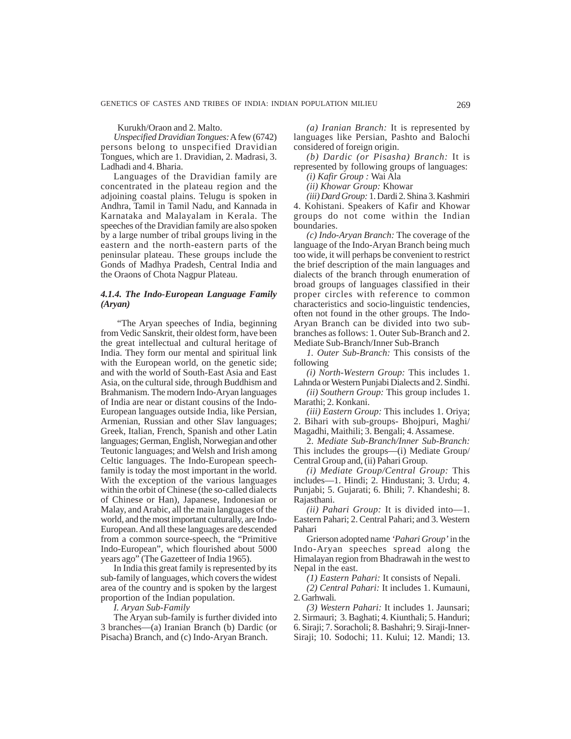# Kurukh/Oraon and 2. Malto.

*Unspecified Dravidian Tongues:* A few (6742) persons belong to unspecified Dravidian Tongues, which are 1. Dravidian, 2. Madrasi, 3. Ladhadi and 4. Bharia.

Languages of the Dravidian family are concentrated in the plateau region and the adjoining coastal plains. Telugu is spoken in Andhra, Tamil in Tamil Nadu, and Kannada in Karnataka and Malayalam in Kerala. The speeches of the Dravidian family are also spoken by a large number of tribal groups living in the eastern and the north-eastern parts of the peninsular plateau. These groups include the Gonds of Madhya Pradesh, Central India and the Oraons of Chota Nagpur Plateau.

#### *4.1.4. The Indo-European Language Family (Aryan)*

 "The Aryan speeches of India, beginning from Vedic Sanskrit, their oldest form, have been the great intellectual and cultural heritage of India. They form our mental and spiritual link with the European world, on the genetic side; and with the world of South-East Asia and East Asia, on the cultural side, through Buddhism and Brahmanism. The modern Indo-Aryan languages of India are near or distant cousins of the Indo-European languages outside India, like Persian, Armenian, Russian and other Slav languages; Greek, Italian, French, Spanish and other Latin languages; German, English, Norwegian and other Teutonic languages; and Welsh and Irish among Celtic languages. The Indo-European speechfamily is today the most important in the world. With the exception of the various languages within the orbit of Chinese (the so-called dialects of Chinese or Han), Japanese, Indonesian or Malay, and Arabic, all the main languages of the world, and the most important culturally, are Indo-European. And all these languages are descended from a common source-speech, the "Primitive Indo-European", which flourished about 5000 years ago" (The Gazetteer of India 1965).

In India this great family is represented by its sub-family of languages, which covers the widest area of the country and is spoken by the largest proportion of the Indian population.

*I. Aryan Sub-Family*

The Aryan sub-family is further divided into 3 branches—(a) Iranian Branch (b) Dardic (or Pisacha) Branch, and (c) Indo-Aryan Branch.

*(a) Iranian Branch:* It is represented by languages like Persian, Pashto and Balochi considered of foreign origin.

*(b) Dardic (or Pisasha) Branch:* It is represented by following groups of languages: *(i) Kafir Group :* Wai Ala

*(ii) Khowar Group:* Khowar

*(iii) Dard Group:* 1. Dardi 2. Shina 3. Kashmiri 4. Kohistani. Speakers of Kafir and Khowar groups do not come within the Indian boundaries.

*(c) Indo-Aryan Branch:* The coverage of the language of the Indo-Aryan Branch being much too wide, it will perhaps be convenient to restrict the brief description of the main languages and dialects of the branch through enumeration of broad groups of languages classified in their proper circles with reference to common characteristics and socio-linguistic tendencies, often not found in the other groups. The Indo-Aryan Branch can be divided into two subbranches as follows: 1. Outer Sub-Branch and 2. Mediate Sub-Branch/Inner Sub-Branch

*1. Outer Sub-Branch:* This consists of the following

*(i) North-Western Group:* This includes 1. Lahnda or Western Punjabi Dialects and 2. Sindhi.

*(ii) Southern Group:* This group includes 1. Marathi; 2. Konkani.

*(iii) Eastern Group:* This includes 1. Oriya; 2. Bihari with sub-groups- Bhojpuri, Maghi/ Magadhi, Maithili; 3. Bengali; 4. Assamese.

2. *Mediate Sub-Branch/Inner Sub-Branch:* This includes the groups—(i) Mediate Group/ Central Group and, (ii) Pahari Group.

*(i) Mediate Group/Central Group:* This includes—1. Hindi; 2. Hindustani; 3. Urdu; 4. Punjabi; 5. Gujarati; 6. Bhili; 7. Khandeshi; 8. Rajasthani.

*(ii) Pahari Group:* It is divided into—1. Eastern Pahari; 2. Central Pahari; and 3. Western Pahari

Grierson adopted name *'Pahari Group'* in the Indo-Aryan speeches spread along the Himalayan region from Bhadrawah in the west to Nepal in the east.

*(1) Eastern Pahari:* It consists of Nepali.

*(2) Central Pahari:* It includes 1. Kumauni, 2. Garhwali.

*(3) Western Pahari:* It includes 1. Jaunsari; 2. Sirmauri; 3. Baghati; 4. Kiunthali; 5. Handuri;

6. Siraji; 7. Soracholi; 8. Bashahri; 9. Siraji-Inner-

Siraji; 10. Sodochi; 11. Kului; 12. Mandi; 13.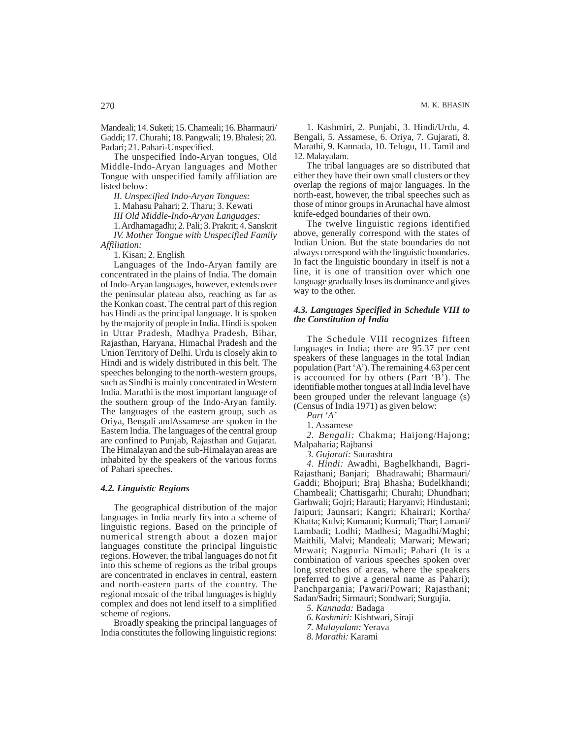Mandeali; 14. Suketi; 15. Chameali; 16. Bharmauri/ Gaddi; 17. Churahi; 18. Pangwali; 19. Bhalesi; 20. Padari; 21. Pahari-Unspecified.

The unspecified Indo-Aryan tongues, Old Middle-Indo-Aryan languages and Mother Tongue with unspecified family affiliation are listed below:

*II. Unspecified Indo-Aryan Tongues:*

1. Mahasu Pahari; 2. Tharu; 3. Kewati

*III Old Middle-Indo-Aryan Languages:*

1. Ardhamagadhi; 2. Pali; 3. Prakrit; 4. Sanskrit *IV. Mother Tongue with Unspecified Family Affiliation:*

1. Kisan; 2. English

Languages of the Indo-Aryan family are concentrated in the plains of India. The domain of Indo-Aryan languages, however, extends over the peninsular plateau also, reaching as far as the Konkan coast. The central part of this region has Hindi as the principal language. It is spoken by the majority of people in India. Hindi is spoken in Uttar Pradesh, Madhya Pradesh, Bihar, Rajasthan, Haryana, Himachal Pradesh and the Union Territory of Delhi. Urdu is closely akin to Hindi and is widely distributed in this belt. The speeches belonging to the north-western groups, such as Sindhi is mainly concentrated in Western India. Marathi is the most important language of the southern group of the Indo-Aryan family. The languages of the eastern group, such as Oriya, Bengali andAssamese are spoken in the Eastern India. The languages of the central group are confined to Punjab, Rajasthan and Gujarat. The Himalayan and the sub-Himalayan areas are inhabited by the speakers of the various forms of Pahari speeches.

# *4.2. Linguistic Regions*

The geographical distribution of the major languages in India nearly fits into a scheme of linguistic regions. Based on the principle of numerical strength about a dozen major languages constitute the principal linguistic regions. However, the tribal languages do not fit into this scheme of regions as the tribal groups are concentrated in enclaves in central, eastern and north-eastern parts of the country. The regional mosaic of the tribal languages is highly complex and does not lend itself to a simplified scheme of regions.

Broadly speaking the principal languages of India constitutes the following linguistic regions:

1. Kashmiri, 2. Punjabi, 3. Hindi/Urdu, 4. Bengali, 5. Assamese, 6. Oriya, 7. Gujarati, 8. Marathi, 9. Kannada, 10. Telugu, 11. Tamil and 12. Malayalam.

The tribal languages are so distributed that either they have their own small clusters or they overlap the regions of major languages. In the north-east, however, the tribal speeches such as those of minor groups in Arunachal have almost knife-edged boundaries of their own.

The twelve linguistic regions identified above, generally correspond with the states of Indian Union. But the state boundaries do not always correspond with the linguistic boundaries. In fact the linguistic boundary in itself is not a line, it is one of transition over which one language gradually loses its dominance and gives way to the other.

#### *4.3. Languages Specified in Schedule VIII to the Constitution of India*

The Schedule VIII recognizes fifteen languages in India; there are 95.37 per cent speakers of these languages in the total Indian population (Part 'A'). The remaining 4.63 per cent is accounted for by others (Part 'B'). The identifiable mother tongues at all India level have been grouped under the relevant language (s) (Census of India 1971) as given below:

*Part 'A'*

1. Assamese

*2. Bengali:* Chakma; Haijong/Hajong; Malpaharia; Rajbansi

*3. Gujarati:* Saurashtra

*4. Hindi:* Awadhi, Baghelkhandi, Bagri-Rajasthani; Banjari; Bhadrawahi; Bharmauri/ Gaddi; Bhojpuri; Braj Bhasha; Budelkhandi; Chambeali; Chattisgarhi; Churahi; Dhundhari; Garhwali; Gojri; Harauti; Haryanvi; Hindustani; Jaipuri; Jaunsari; Kangri; Khairari; Kortha/ Khatta; Kulvi; Kumauni; Kurmali; Thar; Lamani/ Lambadi; Lodhi; Madhesi; Magadhi/Maghi; Maithili, Malvi; Mandeali; Marwari; Mewari; Mewati; Nagpuria Nimadi; Pahari (It is a combination of various speeches spoken over long stretches of areas, where the speakers preferred to give a general name as Pahari); Panchpargania; Pawari/Powari; Rajasthani; Sadan/Sadri; Sirmauri; Sondwari; Surgujia.

*5. Kannada:* Badaga

- *6. Kashmiri:* Kishtwari, Siraji
- *7. Malayalam:* Yerava
- *8. Marathi:* Karami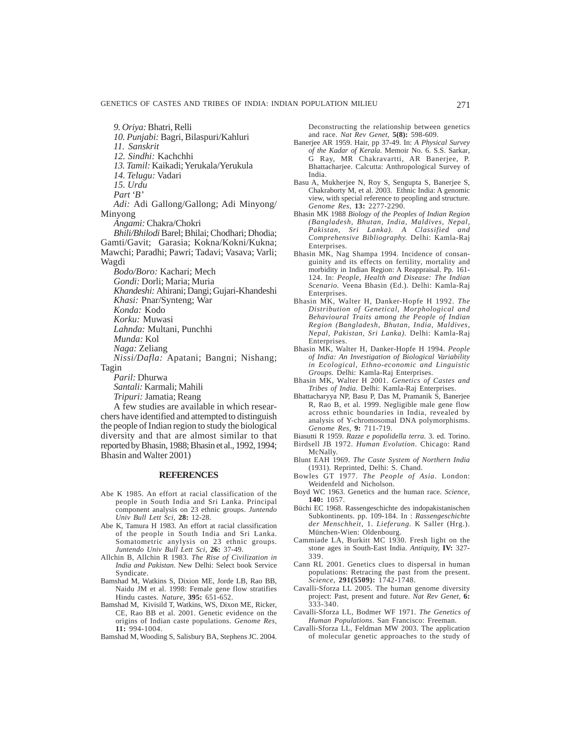*9. Oriya:* Bhatri, Relli *10. Punjabi:* Bagri, Bilaspuri/Kahluri

*11. Sanskrit*

*12. Sindhi:* Kachchhi

*13. Tamil:* Kaikadi; Yerukala/Yerukula

*14. Telugu:* Vadari

*15. Urdu*

*Part 'B'*

*Adi:* Adi Gallong/Gallong; Adi Minyong/

Minyong

*Angami:* Chakra/Chokri

*Bhili/Bhilodi* Barel; Bhilai; Chodhari; Dhodia; Gamti/Gavit; Garasia; Kokna/Kokni/Kukna; Mawchi; Paradhi; Pawri; Tadavi; Vasava; Varli; Wagdi

*Bodo/Boro:* Kachari; Mech

*Gondi:* Dorli; Maria; Muria

*Khandeshi:* Ahirani; Dangi; Gujari-Khandeshi

*Khasi:* Pnar/Synteng; War

*Konda:* Kodo

*Korku:* Muwasi

*Lahnda:* Multani, Punchhi

*Munda:* Kol

*Naga:* Zeliang

*Nissi/Dafla:* Apatani; Bangni; Nishang; Tagin

*Paril:* Dhurwa

*Santali:* Karmali; Mahili

*Tripuri:* Jamatia; Reang

A few studies are available in which researchers have identified and attempted to distinguish the people of Indian region to study the biological diversity and that are almost similar to that reported by Bhasin, 1988; Bhasin et al., 1992, 1994; Bhasin and Walter 2001)

#### **REFERENCES**

- Abe K 1985. An effort at racial classification of the people in South India and Sri Lanka. Principal component analysis on 23 ethnic groups. *Juntendo Univ Bull Lett Sci,* **28:** 12-28.
- Abe K, Tamura H 1983. An effort at racial classification of the people in South India and Sri Lanka. Somatometric anylysis on 23 ethnic groups. *Juntendo Univ Bull Lett Sci*, **26:** 37-49.
- Allchin B, Allchin R 1983. *The Rise of Civilization in India and Pakistan*. New Delhi: Select book Service Syndicate.
- Bamshad M, Watkins S, Dixion ME, Jorde LB, Rao BB, Naidu JM et al. 1998: Female gene flow stratifies Hindu castes. *Nature,* **395:** 651-652.
- Bamshad M, Kivisild T, Watkins, WS, Dixon ME, Ricker, CE, Rao BB et al. 2001. Genetic evidence on the origins of Indian caste populations. *Genome Res,* **11:** 994-1004.
- Bamshad M, Wooding S, Salisbury BA, Stephens JC. 2004.

Deconstructing the relationship between genetics and race. *Nat Rev Genet,* **5(8):** 598-609.

- Banerjee AR 1959. Hair, pp 37-49. In: *A Physical Survey of the Kadar of Kerala*. Memoir No. 6. S.S. Sarkar, G Ray, MR Chakravartti, AR Banerjee, P. Bhattacharjee. Calcutta: Anthropological Survey of India.
- Basu A, Mukherjee N, Roy S, Sengupta S, Banerjee S, Chakraborty M, et al. 2003. Ethnic India: A genomic view, with special reference to peopling and structure. *Genome Res,* **13:** 2277-2290.
- Bhasin MK 1988 *Biology of the Peoples of Indian Region (Bangladesh, Bhutan, India, Maldives, Nepal, Pakistan, Sri Lanka). A Classified and Comprehensive Bibliography.* Delhi: Kamla-Raj Enterprises.
- Bhasin MK, Nag Shampa 1994. Incidence of consanguinity and its effects on fertility, mortality and morbidity in Indian Region: A Reappraisal. Pp. 161- 124. In: *People, Health and Disease: The Indian Scenario.* Veena Bhasin (Ed.). Delhi: Kamla-Raj Enterprises.
- Bhasin MK, Walter H, Danker-Hopfe H 1992. *The Distribution of Genetical, Morphological and Behavioural Traits among the People of Indian Region (Bangladesh, Bhutan, India, Maldives, Nepal, Pakistan, Sri Lanka).* Delhi: Kamla-Raj Enterprises.
- Bhasin MK, Walter H, Danker-Hopfe H 1994. *People of India: An Investigation of Biological Variability in Ecological, Ethno-economic and Linguistic Groups.* Delhi: Kamla-Raj Enterprises.
- Bhasin MK, Walter H 2001. *Genetics of Castes and Tribes of India.* Delhi: Kamla-Raj Enterprises.
- Bhattacharyya NP, Basu P, Das M, Pramanik S, Banerjee R, Rao B, et al. 1999. Negligible male gene flow across ethnic boundaries in India, revealed by analysis of Y-chromosomal DNA polymorphisms. *Genome Res,* **9:** 711-719.
- Biasutti R 1959. *Razze e popolidella terra*. 3. ed. Torino. Birdsell JB 1972. *Human Evolution*. Chicago: Rand McNally.
- Blunt EAH 1969. *The Caste System of Northern India* (1931). Reprinted, Delhi: S. Chand.
- Bowles GT 1977. *The People of Asia*. London: Weidenfeld and Nicholson.
- Boyd WC 1963. Genetics and the human race. *Science,* **140:** 1057.
- Büchi EC 1968. Rassengeschichte des indopakistanischen Subkontinents. pp. 109-184. In : *Rassengeschichte der Menschheit*, 1. *Lieferung*. K Saller (Hrg.). München-Wien: Oldenbourg.
- Cammiade LA, Burkitt MC 1930. Fresh light on the stone ages in South-East India. *Antiquity,* **IV:** 327- 339.
- Cann RL 2001. Genetics clues to dispersal in human populations: Retracing the past from the present. *Science,* **291(5509):** 1742-1748.
- Cavalli-Sforza LL 2005. The human genome diversity project: Past, present and future. *Nat Rev Genet,* **6:**  $333 - 340$ .
- Cavalli-Sforza LL, Bodmer WF 1971. *The Genetics of Human Populations*. San Francisco: Freeman.
- Cavalli-Sforza LL, Feldman MW 2003. The application of molecular genetic approaches to the study of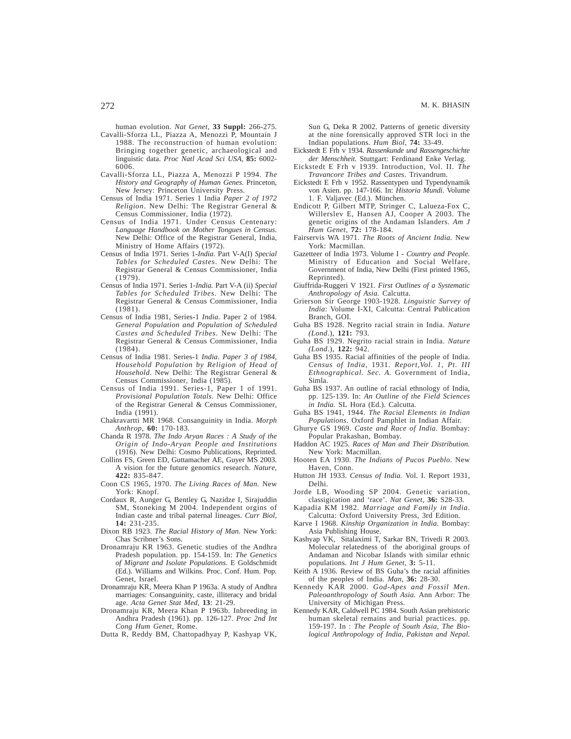human evolution. *Nat Genet,* **33 Suppl:** 266-275. Cavalli-Sforza LL, Piazza A, Menozzi P, Mountain J

- 1988. The reconstruction of human evolution: Bringing together genetic, archaeological and linguistic data. *Proc Natl Acad Sci USA,* **85:** 6002- 6006.
- Cavalli-Sforza LL, Piazza A, Menozzi P 1994. *The History and Geography of Human Genes.* Princeton, New Jersey: Princeton University Press.
- Census of India 1971. Series 1 India *Paper 2 of 1972 Religion*. New Delhi: The Registrar General & Census Commissioner, India (1972).
- Census of India 1971. Under Census Centenary: *Language Handbook on Mother Tongues in Census*. New Delhi: Office of the Registrar General, India, Ministry of Home Affairs (1972).
- Census of India 1971. Series 1-*India*. Part V-A(I) *Special Tables for Scheduled Castes*. New Delhi: The Registrar General & Census Commissioner, India (1979).
- Census of India 1971. Series 1-*India.* Part V-A (ii) *Special Tables for Scheduled Tribes*. New Delhi: The Registrar General & Census Commissioner, India (1981).
- Census of India 1981, Series-1 *India*. Paper 2 of 1984. *General Population and Population of Scheduled Castes and Scheduled Tribes*. New Delhi: The Registrar General & Census Commissioner, India (1984).
- Census of India 1981. Series-1 *India*. *Paper 3 of 1984, Household Population by Religion of Head of Household*. New Delhi: The Registrar General & Census Commissioner, India (1985).
- Census of India 1991. Series-1, Paper 1 of 1991. *Provisional Population Totals*. New Delhi: Office of the Registrar General & Census Commissioner, India (1991).
- Chakravartti MR 1968. Consanguinity in India. *Morph Anthrop,* **60:** 170-183.
- Chanda R 1978. *The Indo Aryan Races : A Study of the Origin of Indo-Aryan People and Institutions* (1916). New Delhi: Cosmo Publications, Reprinted.
- Collins FS, Green ED, Guttamacher AE, Guyer MS 2003. A vision for the future genomics research. *Nature,* **422:** 835-847.
- Coon CS 1965, 1970. *The Living Races of Man*. New York: Knopf.
- Cordaux R, Aunger G, Bentley G, Nazidze I, Sirajuddin SM, Stoneking M 2004. Independent orgins of Indian caste and tribal paternal lineages. *Curr Biol,* **14:** 231-235.
- Dixon RB 1923. *The Racial History of Man.* New York: Chas Scribner's Sons.
- Dronamraju KR 1963. Genetic studies of the Andhra Pradesh population. pp. 154-159. In: *The Genetics of Migrant and Isolate Populations*. E Goldschmidt (Ed.). Williams and Wilkins. Proc. Conf. Hum. Pop. Genet, Israel.
- Dronamraju KR, Meera Khan P 1963a. A study of Andhra marriages: Consanguinity, caste, illiteracy and bridal age. *Acta Genet Stat Med,* **13**: 21-29.
- Dronamraju KR, Meera Khan P 1963b. Inbreeding in Andhra Pradesh (1961). pp. 126-127. *Proc 2nd Int Cong Hum Genet*, Rome.
- Dutta R, Reddy BM, Chattopadhyay P, Kashyap VK,

Sun G, Deka R 2002. Patterns of genetic diversity at the nine forensically approved STR loci in the Indian populations. *Hum Biol,* **74:** 33-49.

- Eickstedt E Frh v 1934. *Rassenkunde und Rassengeschichte der Menschheit.* Stuttgart: Ferdinand Enke Verlag.
- Eickstedt E Frh v 1939. Introduction, Vol. II. *The Travancore Tribes and Castes*. Trivandrum.
- Eickstedt E Frh v 1952. Rassentypen und Typendynamik von Asien. pp. 147-166. In: *Historia Mundi.* Volume 1. F. Valjavec (Ed.). München.
- Endicott P, Gilbert MTP, Stringer C, Lalueza-Fox C, Willerslev E, Hansen AJ, Cooper A 2003. The genetic origins of the Andaman Islanders. *Am J Hum Genet,* **72:** 178-184.
- Fairservis WA 1971. *The Roots of Ancient India.* New York: Macmillan.
- Gazetteer of India 1973. Volume I  *Country and People.* Ministry of Education and Social Welfare, Government of India, New Delhi (First printed 1965, Reprinted).
- Giuffrida-Ruggeri V 1921. *First Outlines of a Systematic Anthropology of Asia.* Calcutta.
- Grierson Sir George 1903-1928. *Linguistic Survey of India*: Volume I-XI, Calcutta: Central Publication Branch, GOI.
- Guha BS 1928. Negrito racial strain in India. *Nature (Lond*.), **121:** 793.
- Guha BS 1929. Negrito racial strain in India. *Nature (Lond*.), **122:** 942.
- Guha BS 1935. Racial affinities of the people of India. *Census of India*, 1931. *Report,Vol. 1, Pt. III Ethnographical. Sec. A.* Government of India, Simla.
- Guha BS 1937. An outline of racial ethnology of India, pp. 125-139. In: *An Outline of the Field Sciences in India.* SL Hora (Ed.). Calcutta.
- Guha BS 1941, 1944. *The Racial Elements in Indian Populations*. Oxford Pamphlet in Indian Affair.
- Ghurye GS 1969. *Caste and Race of India.* Bombay: Popular Prakashan, Bombay.
- Haddon AC 1925. *Races of Man and Their Distribution.* New York: Macmillan.
- Hooten EA 1930. *The Indians of Pucos Pueblo*. New Haven, Conn.
- Hutton JH 1933. *Census of India.* Vol. I. Report 1931, Delhi.
- Jorde LB, Wooding SP 2004. Genetic variation, classigication and 'race'. *Nat Genet,* **36:** S28-33.
- Kapadia KM 1982. *Marriage and Family in India*. Calcutta: Oxford University Press, 3rd Edition.
- Karve I 1968. *Kinship Organization in India.* Bombay: Asia Publishing House.
- Kashyap VK, Sitalaximi T, Sarkar BN, Trivedi R 2003. Molecular relatedness of the aboriginal groups of Andaman and Nicobar Islands with similar ethnic populations. *Int J Hum Genet,* **3:** 5-11.
- Keith A 1936. Review of BS Guha's the racial affinities of the peoples of India. *Man,* **36:** 28-30.
- Kennedy KAR 2000. *God-Apes and Fossil Men. Paleoanthropology of South Asia.* Ann Arbor: The University of Michigan Press.
- Kennedy KAR, Caldwell PC 1984. South Asian prehistoric human skeletal remains and burial practices. pp. 159-197. In : *The People of South Asia, The Biological Anthropology of India, Pakistan and Nepal*.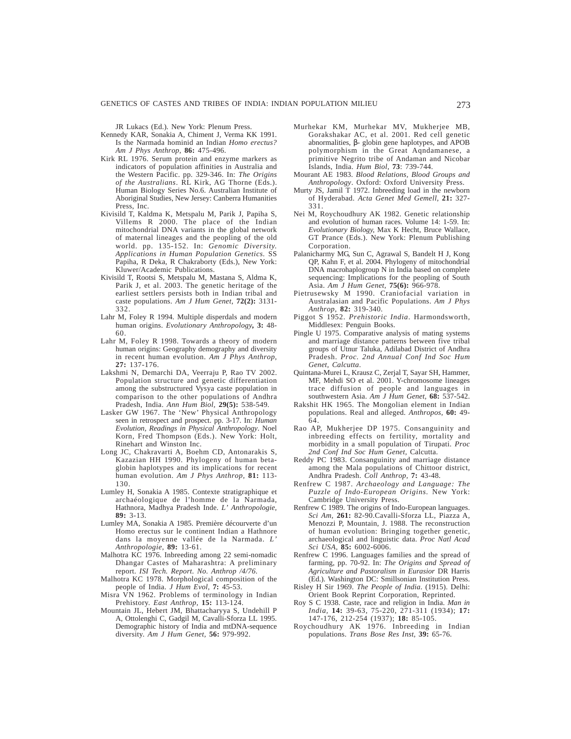JR Lukacs (Ed.). New York: Plenum Press.

- Kennedy KAR, Sonakia A, Chiment J, Verma KK 1991. Is the Narmada hominid an Indian *Homo erectus? Am J Phys Anthrop,* **86:** 475-496.
- Kirk RL 1976. Serum protein and enzyme markers as indicators of population affinities in Australia and the Western Pacific. pp. 329-346. In: *The Origins of the Australians*. RL Kirk, AG Thorne (Eds.). Human Biology Series No.6. Australian Institute of Aboriginal Studies, New Jersey: Canberra Humanities Press, Inc.
- Kivisild T, Kaldma K, Metspalu M, Parik J, Papiha S, Villems R 2000. The place of the Indian mitochondrial DNA variants in the global network of maternal lineages and the peopling of the old world. pp. 135-152. In: *Genomic Diversity. Applications in Human Population Genetics.* SS Papiha, R Deka, R Chakraborty (Eds.), New York: Kluwer/Academic Publications.
- Kivisild T, Rootsi S, Metspalu M, Mastana S, Aldma K, Parik J, et al. 2003. The genetic heritage of the earliest settlers persists both in Indian tribal and caste populations. *Am J Hum Genet,* **72(2):** 3131- 332.
- Lahr M, Foley R 1994. Multiple disperdals and modern human origins. *Evolutionary Anthropology,* **3:** 48- 60.
- Lahr M, Foley R 1998. Towards a theory of modern human origins: Geography demography and diversity in recent human evolution. *Am J Phys Anthrop,* **27:** 137-176.
- Lakshmi N, Demarchi DA, Veerraju P, Rao TV 2002. Population structure and genetic differentiation among the substructured Vysya caste population in comparison to the other populations of Andhra Pradesh, India. *Ann Hum Biol,* **29(5):** 538-549.
- Lasker GW 1967. The 'New' Physical Anthropology seen in retrospect and prospect. pp. 3-17. In: *Human Evolution, Readings in Physical Anthropology*. Noel Korn, Fred Thompson (Eds.). New York: Holt, Rinehart and Winston Inc.
- Long JC, Chakravarti A, Boehm CD, Antonarakis S, Kazazian HH 1990. Phylogeny of human betaglobin haplotypes and its implications for recent human evolution. *Am J Phys Anthrop,* **81:** 113- 130.
- Lumley H, Sonakia A 1985. Contexte stratigraphique et archaéologique de l'homme de la Narmada, Hathnora, Madhya Pradesh Inde. *L' Anthropologie,* **89:** 3-13.
- Lumley MA, Sonakia A 1985. Première décourverte d'un Homo erectus sur le continent Indian a Hathnore dans la moyenne vallée de la Narmada. *L' Anthropologie,* **89:** 13-61.
- Malhotra KC 1976. Inbreeding among 22 semi-nomadic Dhangar Castes of Maharashtra: A preliminary report. *ISI Tech. Report. No. Anthrop /4/76*.
- Malhotra KC 1978. Morphological composition of the people of India. *J Hum Evol,* **7:** 45-53.
- Misra VN 1962. Problems of terminology in Indian Prehistory. *East Anthrop*, **15:** 113-124.
- Mountain JL, Hebert JM, Bhattacharyya S, Undehill P A, Ottolenghi C, Gadgil M, Cavalli-Sforza LL 1995. Demographic history of India and mtDNA-sequence diversity. *Am J Hum Genet,* **56:** 979-992.
- Murhekar KM, Murhekar MV, Mukherjee MB, Gorakshakar AC, et al. 2001. Red cell genetic abnormalities, β- globin gene haplotypes, and APOB polymorphism in the Great Aqndamanese, a primitive Negrito tribe of Andaman and Nicobar Islands, India. *Hum Biol*, **73**: 739-744.
- Mourant AE 1983. *Blood Relations, Blood Groups and Anthropology*. Oxford: Oxford University Press.
- Murty JS, Jamil T 1972. Inbreeding load in the newborn of Hyderabad. *Acta Genet Med Gemell,* **21:** 327- 331.
- Nei M, Roychoudhury AK 1982. Genetic relationship and evolution of human races. Volume 14: 1-59. In: *Evolutionary Biology,* Max K Hecht, Bruce Wallace, GT Prance (Eds.). New York: Plenum Publishing Corporation.
- Palanicharmy MG, Sun C, Agrawal S, Bandelt H J, Kong QP, Kahn F, et al. 2004. Phylogeny of mitochondrial DNA macrohaplogroup N in India based on complete sequencing: Implications for the peopling of South Asia. *Am J Hum Genet,* **75(6):** 966-978.
- Pietrusewsky M 1990. Craniofacial variation in Australasian and Pacific Populations. *Am J Phys Anthrop*, **82:** 319-340.
- Piggot S 1952. *Prehistoric India*. Harmondsworth, Middlesex: Penguin Books.
- Pingle U 1975. Comparative analysis of mating systems and marriage distance patterns between five tribal groups of Utnur Taluka, Adilabad District of Andhra Pradesh. *Proc. 2nd Annual Conf Ind Soc Hum Genet, Calcutta*.
- Quintana-Murei L, Krausz C, Zerjal T, Sayar SH, Hammer, MF, Mehdi SO et al. 2001. Y-chromosome lineages trace diffusion of people and languages southwestern Asia. *Am J Hum Genet,* **68:** 537-542.
- Rakshit HK 1965. The Mongolian element in Indian populations. Real and alleged. *Anthropos,* **60:** 49- 64.
- Rao AP, Mukherjee DP 1975. Consanguinity and inbreeding effects on fertility, mortality and morbidity in a small population of Tirupati. *Proc 2nd Conf Ind Soc Hum Genet,* Calcutta.
- Reddy PC 1983. Consanguinity and marriage distance among the Mala populations of Chittoor district, Andhra Pradesh. *Coll Anthrop,* **7:** 43-48.
- Renfrew C 1987. *Archaeology and Language: The Puzzle of Indo-European Origins*. New York: Cambridge University Press.
- Renfrew C 1989. The origins of Indo-European languages. *Sci Am,* **261:** 82-90.Cavalli-Sforza LL, Piazza A, Menozzi P, Mountain, J. 1988. The reconstruction of human evolution: Bringing together genetic, archaeological and linguistic data. *Proc Natl Acad Sci USA,* **85:** 6002-6006.
- Renfrew C 1996. Languages families and the spread of farming, pp. 70-92. In: *The Origins and Spread of Agriculture and Pastoralism in Eurasior* DR Harris (Ed.). Washington DC: Smillsonian Institution Press.
- Risley H Sir 1969. *The People of India*. (1915). Delhi: Orient Book Reprint Corporation, Reprinted.
- Roy S C 1938. Caste, race and religion in India. *Man in India,* **14:** 39-63, 75-220, 271-311 (1934); **17:** 147-176, 212-254 (1937); **18:** 85-105.
- Roychoudhury AK 1976. Inbreeding in Indian populations. *Trans Bose Res Inst,* **39:** 65-76.